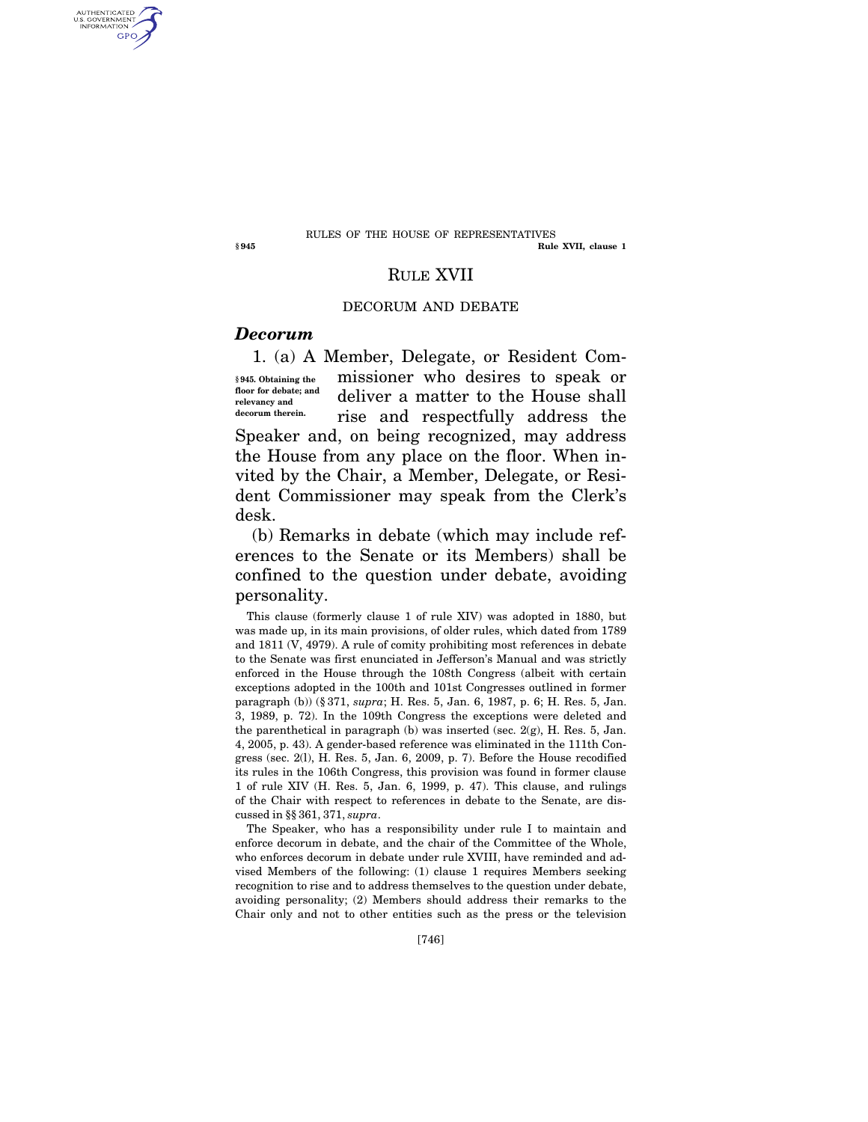#### **§ 945 Rule XVII, clause 1**  RULES OF THE HOUSE OF REPRESENTATIVES

# RULE XVII

### DECORUM AND DEBATE

## *Decorum*

1. (a) A Member, Delegate, or Resident Commissioner who desires to speak or deliver a matter to the House shall rise and respectfully address the Speaker and, on being recognized, may address the House from any place on the floor. When invited by the Chair, a Member, Delegate, or Resident Commissioner may speak from the Clerk's desk. **§ 945. Obtaining the floor for debate; and relevancy and decorum therein.** 

(b) Remarks in debate (which may include references to the Senate or its Members) shall be confined to the question under debate, avoiding personality.

This clause (formerly clause 1 of rule XIV) was adopted in 1880, but was made up, in its main provisions, of older rules, which dated from 1789 and 1811 (V, 4979). A rule of comity prohibiting most references in debate to the Senate was first enunciated in Jefferson's Manual and was strictly enforced in the House through the 108th Congress (albeit with certain exceptions adopted in the 100th and 101st Congresses outlined in former paragraph (b)) (§ 371, *supra*; H. Res. 5, Jan. 6, 1987, p. 6; H. Res. 5, Jan. 3, 1989, p. 72). In the 109th Congress the exceptions were deleted and the parenthetical in paragraph (b) was inserted (sec. 2(g), H. Res. 5, Jan. 4, 2005, p. 43). A gender-based reference was eliminated in the 111th Congress (sec. 2(l), H. Res. 5, Jan. 6, 2009, p. 7). Before the House recodified its rules in the 106th Congress, this provision was found in former clause 1 of rule XIV (H. Res. 5, Jan. 6, 1999, p. 47). This clause, and rulings of the Chair with respect to references in debate to the Senate, are discussed in §§ 361, 371, *supra*.

The Speaker, who has a responsibility under rule I to maintain and enforce decorum in debate, and the chair of the Committee of the Whole, who enforces decorum in debate under rule XVIII, have reminded and advised Members of the following: (1) clause 1 requires Members seeking recognition to rise and to address themselves to the question under debate, avoiding personality; (2) Members should address their remarks to the Chair only and not to other entities such as the press or the television

AUTHENTICATED<br>U.S. GOVERNMENT<br>INFORMATION **GPO**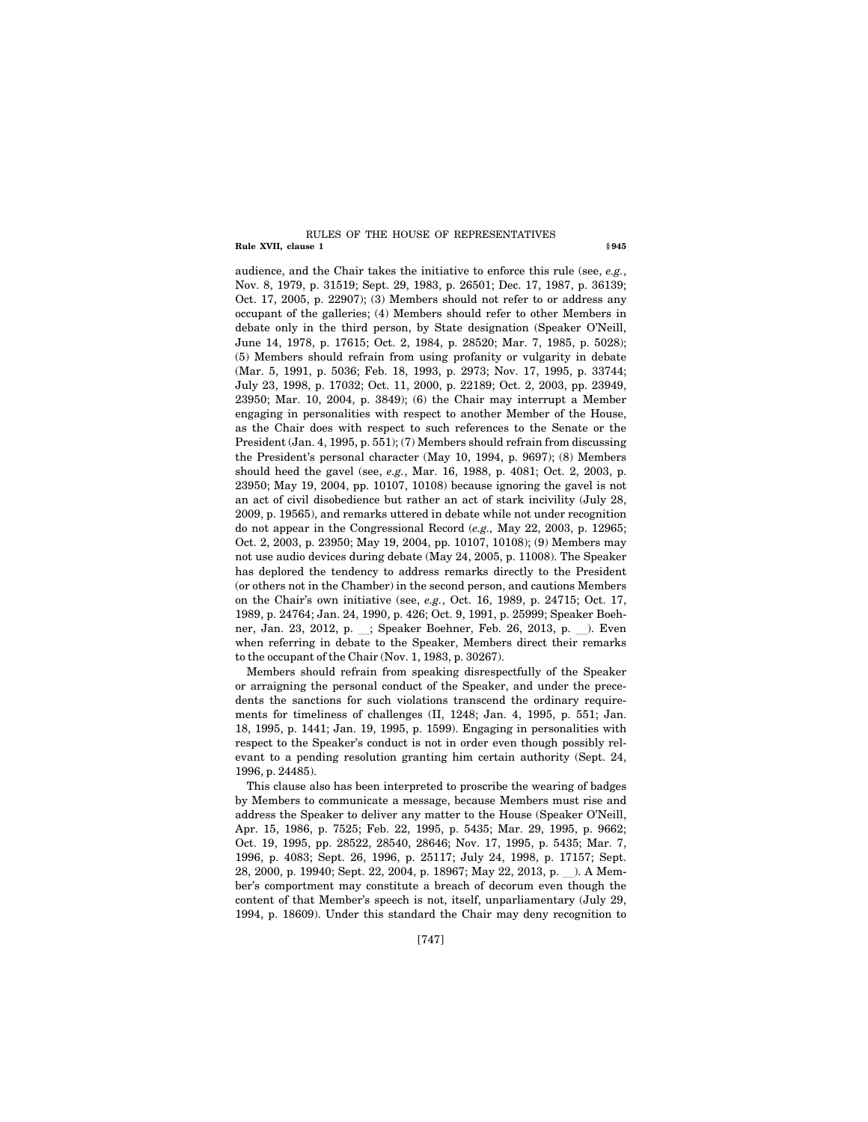#### **Rule XVII, clause 1** § 945 RULES OF THE HOUSE OF REPRESENTATIVES

audience, and the Chair takes the initiative to enforce this rule (see, *e.g.*, Nov. 8, 1979, p. 31519; Sept. 29, 1983, p. 26501; Dec. 17, 1987, p. 36139; Oct. 17, 2005, p. 22907); (3) Members should not refer to or address any occupant of the galleries; (4) Members should refer to other Members in debate only in the third person, by State designation (Speaker O'Neill, June 14, 1978, p. 17615; Oct. 2, 1984, p. 28520; Mar. 7, 1985, p. 5028); (5) Members should refrain from using profanity or vulgarity in debate (Mar. 5, 1991, p. 5036; Feb. 18, 1993, p. 2973; Nov. 17, 1995, p. 33744; July 23, 1998, p. 17032; Oct. 11, 2000, p. 22189; Oct. 2, 2003, pp. 23949, 23950; Mar. 10, 2004, p. 3849); (6) the Chair may interrupt a Member engaging in personalities with respect to another Member of the House, as the Chair does with respect to such references to the Senate or the President (Jan. 4, 1995, p. 551); (7) Members should refrain from discussing the President's personal character (May 10, 1994, p. 9697); (8) Members should heed the gavel (see, *e.g.*, Mar. 16, 1988, p. 4081; Oct. 2, 2003, p. 23950; May 19, 2004, pp. 10107, 10108) because ignoring the gavel is not an act of civil disobedience but rather an act of stark incivility (July 28, 2009, p. 19565), and remarks uttered in debate while not under recognition do not appear in the Congressional Record (*e.g.,* May 22, 2003, p. 12965; Oct. 2, 2003, p. 23950; May 19, 2004, pp. 10107, 10108); (9) Members may not use audio devices during debate (May 24, 2005, p. 11008). The Speaker has deplored the tendency to address remarks directly to the President (or others not in the Chamber) in the second person, and cautions Members on the Chair's own initiative (see, *e.g.*, Oct. 16, 1989, p. 24715; Oct. 17, 1989, p. 24764; Jan. 24, 1990, p. 426; Oct. 9, 1991, p. 25999; Speaker Boehner, Jan. 23, 2012, p. \_; Speaker Boehner, Feb. 26, 2013, p. \_). Even when referring in debate to the Speaker, Members direct their remarks to the occupant of the Chair (Nov. 1, 1983, p. 30267).

Members should refrain from speaking disrespectfully of the Speaker or arraigning the personal conduct of the Speaker, and under the precedents the sanctions for such violations transcend the ordinary requirements for timeliness of challenges (II, 1248; Jan. 4, 1995, p. 551; Jan. 18, 1995, p. 1441; Jan. 19, 1995, p. 1599). Engaging in personalities with respect to the Speaker's conduct is not in order even though possibly relevant to a pending resolution granting him certain authority (Sept. 24, 1996, p. 24485).

This clause also has been interpreted to proscribe the wearing of badges by Members to communicate a message, because Members must rise and address the Speaker to deliver any matter to the House (Speaker O'Neill, Apr. 15, 1986, p. 7525; Feb. 22, 1995, p. 5435; Mar. 29, 1995, p. 9662; Oct. 19, 1995, pp. 28522, 28540, 28646; Nov. 17, 1995, p. 5435; Mar. 7, 1996, p. 4083; Sept. 26, 1996, p. 25117; July 24, 1998, p. 17157; Sept. 28, 2000, p. 19940; Sept. 22, 2004, p. 18967; May 22, 2013, p. ). A Member's comportment may constitute a breach of decorum even though the content of that Member's speech is not, itself, unparliamentary (July 29, 1994, p. 18609). Under this standard the Chair may deny recognition to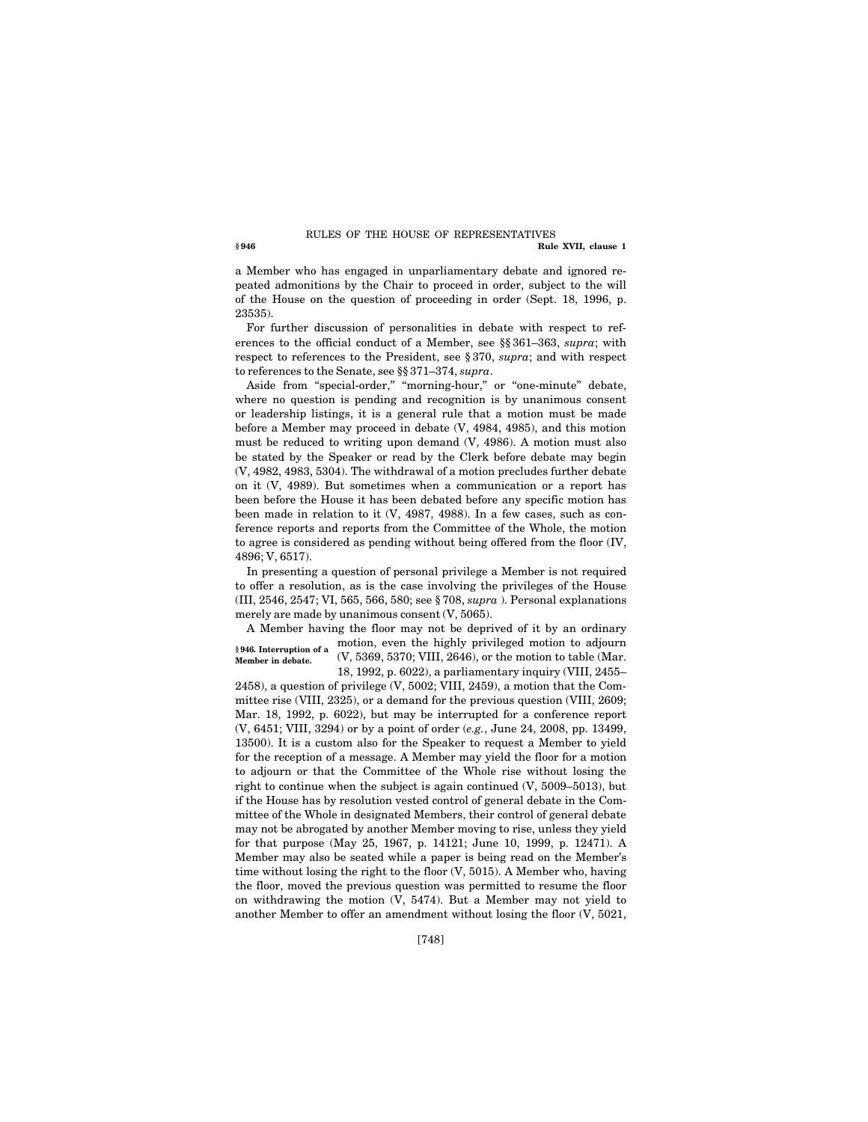#### **§ 946 Rule XVII, clause 1**  RULES OF THE HOUSE OF REPRESENTATIVES

a Member who has engaged in unparliamentary debate and ignored repeated admonitions by the Chair to proceed in order, subject to the will of the House on the question of proceeding in order (Sept. 18, 1996, p. 23535).

For further discussion of personalities in debate with respect to references to the official conduct of a Member, see §§ 361–363, *supra*; with respect to references to the President, see § 370, *supra*; and with respect to references to the Senate, see §§ 371–374, *supra*.

Aside from "special-order," "morning-hour," or "one-minute" debate, where no question is pending and recognition is by unanimous consent or leadership listings, it is a general rule that a motion must be made before a Member may proceed in debate (V, 4984, 4985), and this motion must be reduced to writing upon demand (V, 4986). A motion must also be stated by the Speaker or read by the Clerk before debate may begin (V, 4982, 4983, 5304). The withdrawal of a motion precludes further debate on it (V, 4989). But sometimes when a communication or a report has been before the House it has been debated before any specific motion has been made in relation to it (V, 4987, 4988). In a few cases, such as conference reports and reports from the Committee of the Whole, the motion to agree is considered as pending without being offered from the floor (IV, 4896; V, 6517).

In presenting a question of personal privilege a Member is not required to offer a resolution, as is the case involving the privileges of the House (III, 2546, 2547; VI, 565, 566, 580; see § 708, *supra* ). Personal explanations merely are made by unanimous consent (V, 5065).

A Member having the floor may not be deprived of it by an ordinary motion, even the highly privileged motion to adjourn **§ 946. Interruption of a**  (V, 5369, 5370; VIII, 2646), or the motion to table (Mar. 18, 1992, p. 6022), a parliamentary inquiry (VIII, 2455– **Member in debate.** 

2458), a question of privilege (V, 5002; VIII, 2459), a motion that the Committee rise (VIII, 2325), or a demand for the previous question (VIII, 2609; Mar. 18, 1992, p. 6022), but may be interrupted for a conference report (V, 6451; VIII, 3294) or by a point of order (*e.g.*, June 24, 2008, pp. 13499, 13500). It is a custom also for the Speaker to request a Member to yield for the reception of a message. A Member may yield the floor for a motion to adjourn or that the Committee of the Whole rise without losing the right to continue when the subject is again continued (V, 5009–5013), but if the House has by resolution vested control of general debate in the Committee of the Whole in designated Members, their control of general debate may not be abrogated by another Member moving to rise, unless they yield for that purpose (May 25, 1967, p. 14121; June 10, 1999, p. 12471). A Member may also be seated while a paper is being read on the Member's time without losing the right to the floor (V, 5015). A Member who, having the floor, moved the previous question was permitted to resume the floor on withdrawing the motion (V, 5474). But a Member may not yield to another Member to offer an amendment without losing the floor (V, 5021,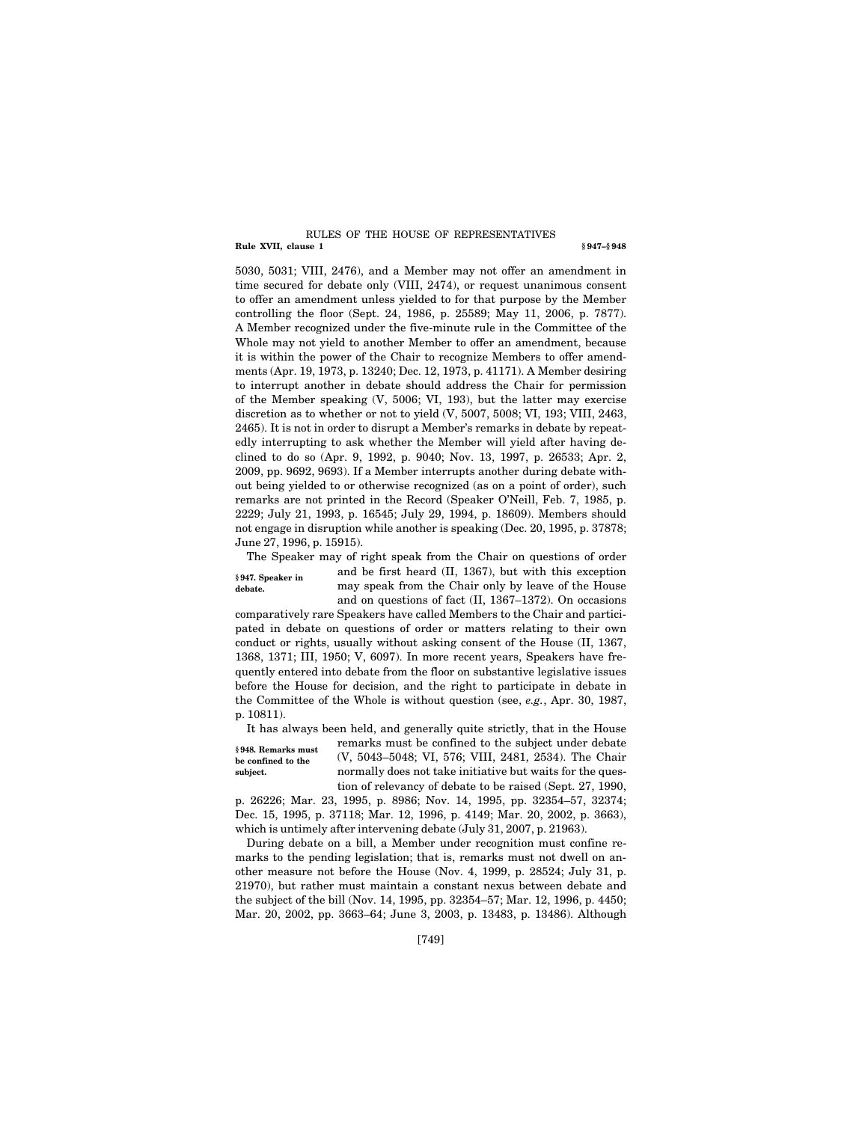#### **Rule XVII, clause 1** § 947–§ 948 RULES OF THE HOUSE OF REPRESENTATIVES

5030, 5031; VIII, 2476), and a Member may not offer an amendment in time secured for debate only (VIII, 2474), or request unanimous consent to offer an amendment unless yielded to for that purpose by the Member controlling the floor (Sept. 24, 1986, p. 25589; May 11, 2006, p. 7877). A Member recognized under the five-minute rule in the Committee of the Whole may not yield to another Member to offer an amendment, because it is within the power of the Chair to recognize Members to offer amendments (Apr. 19, 1973, p. 13240; Dec. 12, 1973, p. 41171). A Member desiring to interrupt another in debate should address the Chair for permission of the Member speaking (V, 5006; VI, 193), but the latter may exercise discretion as to whether or not to yield (V, 5007, 5008; VI, 193; VIII, 2463, 2465). It is not in order to disrupt a Member's remarks in debate by repeatedly interrupting to ask whether the Member will yield after having declined to do so (Apr. 9, 1992, p. 9040; Nov. 13, 1997, p. 26533; Apr. 2, 2009, pp. 9692, 9693). If a Member interrupts another during debate without being yielded to or otherwise recognized (as on a point of order), such remarks are not printed in the Record (Speaker O'Neill, Feb. 7, 1985, p. 2229; July 21, 1993, p. 16545; July 29, 1994, p. 18609). Members should not engage in disruption while another is speaking (Dec. 20, 1995, p. 37878; June 27, 1996, p. 15915).

The Speaker may of right speak from the Chair on questions of order and be first heard (II, 1367), but with this exception **§ 947. Speaker in** 

**debate.** 

may speak from the Chair only by leave of the House and on questions of fact (II, 1367–1372). On occasions

comparatively rare Speakers have called Members to the Chair and participated in debate on questions of order or matters relating to their own conduct or rights, usually without asking consent of the House (II, 1367, 1368, 1371; III, 1950; V, 6097). In more recent years, Speakers have frequently entered into debate from the floor on substantive legislative issues before the House for decision, and the right to participate in debate in the Committee of the Whole is without question (see, *e.g.*, Apr. 30, 1987, p. 10811).

It has always been held, and generally quite strictly, that in the House

**§ 948. Remarks must be confined to the subject.** 

remarks must be confined to the subject under debate (V, 5043–5048; VI, 576; VIII, 2481, 2534). The Chair normally does not take initiative but waits for the question of relevancy of debate to be raised (Sept. 27, 1990,

p. 26226; Mar. 23, 1995, p. 8986; Nov. 14, 1995, pp. 32354–57, 32374; Dec. 15, 1995, p. 37118; Mar. 12, 1996, p. 4149; Mar. 20, 2002, p. 3663), which is untimely after intervening debate (July 31, 2007, p. 21963).

During debate on a bill, a Member under recognition must confine remarks to the pending legislation; that is, remarks must not dwell on another measure not before the House (Nov. 4, 1999, p. 28524; July 31, p. 21970), but rather must maintain a constant nexus between debate and the subject of the bill (Nov. 14, 1995, pp. 32354–57; Mar. 12, 1996, p. 4450; Mar. 20, 2002, pp. 3663–64; June 3, 2003, p. 13483, p. 13486). Although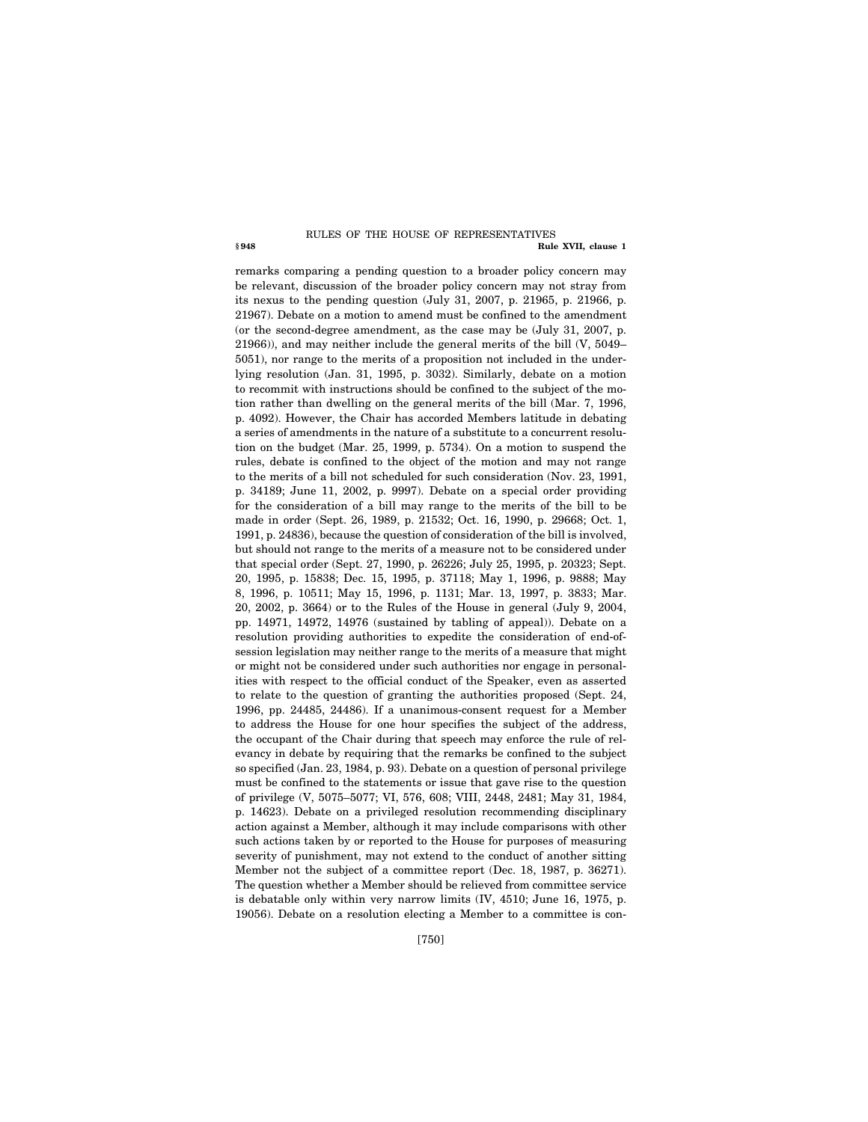#### **§ 948 Rule XVII, clause 1**  RULES OF THE HOUSE OF REPRESENTATIVES

remarks comparing a pending question to a broader policy concern may be relevant, discussion of the broader policy concern may not stray from its nexus to the pending question (July 31, 2007, p. 21965, p. 21966, p. 21967). Debate on a motion to amend must be confined to the amendment (or the second-degree amendment, as the case may be (July 31, 2007, p. 21966)), and may neither include the general merits of the bill (V, 5049– 5051), nor range to the merits of a proposition not included in the underlying resolution (Jan. 31, 1995, p. 3032). Similarly, debate on a motion to recommit with instructions should be confined to the subject of the motion rather than dwelling on the general merits of the bill (Mar. 7, 1996, p. 4092). However, the Chair has accorded Members latitude in debating a series of amendments in the nature of a substitute to a concurrent resolution on the budget (Mar. 25, 1999, p. 5734). On a motion to suspend the rules, debate is confined to the object of the motion and may not range to the merits of a bill not scheduled for such consideration (Nov. 23, 1991, p. 34189; June 11, 2002, p. 9997). Debate on a special order providing for the consideration of a bill may range to the merits of the bill to be made in order (Sept. 26, 1989, p. 21532; Oct. 16, 1990, p. 29668; Oct. 1, 1991, p. 24836), because the question of consideration of the bill is involved, but should not range to the merits of a measure not to be considered under that special order (Sept. 27, 1990, p. 26226; July 25, 1995, p. 20323; Sept. 20, 1995, p. 15838; Dec. 15, 1995, p. 37118; May 1, 1996, p. 9888; May 8, 1996, p. 10511; May 15, 1996, p. 1131; Mar. 13, 1997, p. 3833; Mar. 20, 2002, p. 3664) or to the Rules of the House in general (July 9, 2004, pp. 14971, 14972, 14976 (sustained by tabling of appeal)). Debate on a resolution providing authorities to expedite the consideration of end-ofsession legislation may neither range to the merits of a measure that might or might not be considered under such authorities nor engage in personalities with respect to the official conduct of the Speaker, even as asserted to relate to the question of granting the authorities proposed (Sept. 24, 1996, pp. 24485, 24486). If a unanimous-consent request for a Member to address the House for one hour specifies the subject of the address, the occupant of the Chair during that speech may enforce the rule of relevancy in debate by requiring that the remarks be confined to the subject so specified (Jan. 23, 1984, p. 93). Debate on a question of personal privilege must be confined to the statements or issue that gave rise to the question of privilege (V, 5075–5077; VI, 576, 608; VIII, 2448, 2481; May 31, 1984, p. 14623). Debate on a privileged resolution recommending disciplinary action against a Member, although it may include comparisons with other such actions taken by or reported to the House for purposes of measuring severity of punishment, may not extend to the conduct of another sitting Member not the subject of a committee report (Dec. 18, 1987, p. 36271). The question whether a Member should be relieved from committee service is debatable only within very narrow limits (IV, 4510; June 16, 1975, p. 19056). Debate on a resolution electing a Member to a committee is con-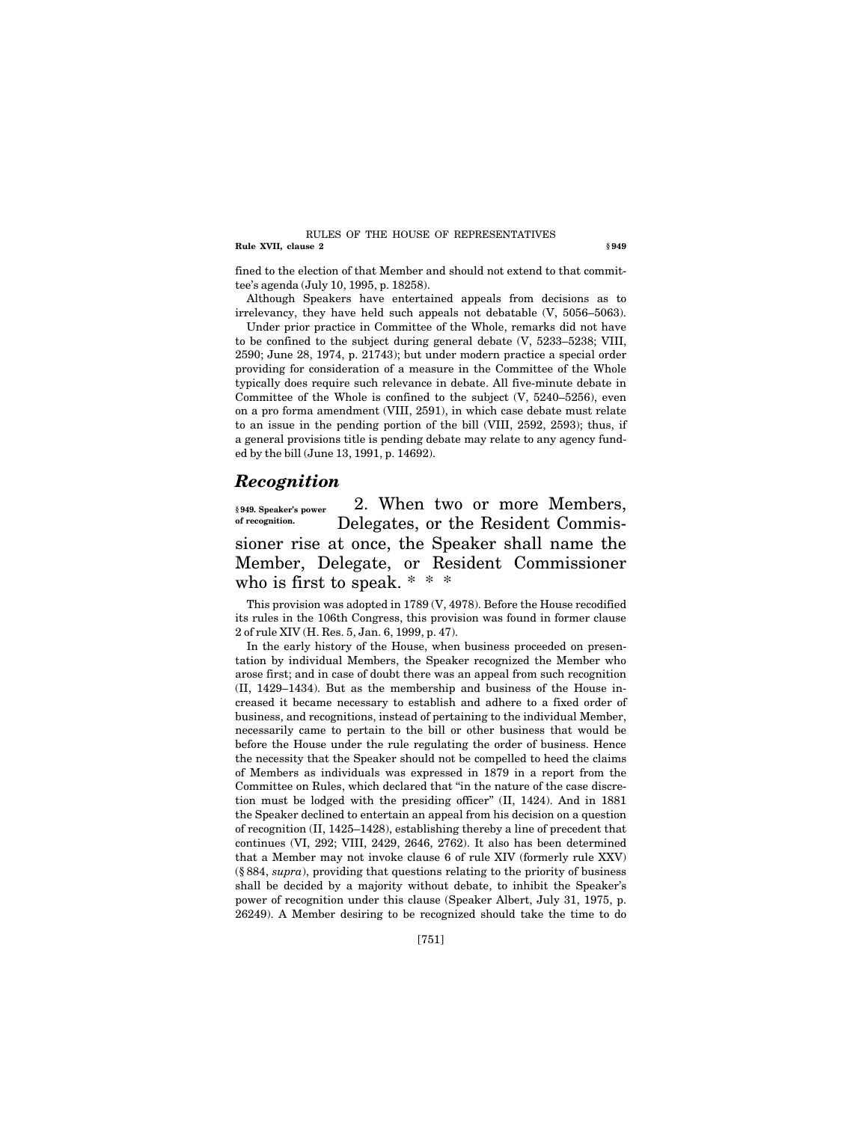#### **Rule XVII, clause 2** § 949 RULES OF THE HOUSE OF REPRESENTATIVES

fined to the election of that Member and should not extend to that committee's agenda (July 10, 1995, p. 18258).

Although Speakers have entertained appeals from decisions as to irrelevancy, they have held such appeals not debatable (V, 5056–5063).

Under prior practice in Committee of the Whole, remarks did not have to be confined to the subject during general debate (V, 5233–5238; VIII, 2590; June 28, 1974, p. 21743); but under modern practice a special order providing for consideration of a measure in the Committee of the Whole typically does require such relevance in debate. All five-minute debate in Committee of the Whole is confined to the subject (V, 5240–5256), even on a pro forma amendment (VIII, 2591), in which case debate must relate to an issue in the pending portion of the bill (VIII, 2592, 2593); thus, if a general provisions title is pending debate may relate to any agency funded by the bill (June 13, 1991, p. 14692).

## *Recognition*

2. When two or more Members, Delegates, or the Resident Commissioner rise at once, the Speaker shall name the Member, Delegate, or Resident Commissioner who is first to speak. \* \* \* **§ 949. Speaker's power of recognition.** 

This provision was adopted in 1789 (V, 4978). Before the House recodified its rules in the 106th Congress, this provision was found in former clause 2 of rule XIV (H. Res. 5, Jan. 6, 1999, p. 47).

In the early history of the House, when business proceeded on presentation by individual Members, the Speaker recognized the Member who arose first; and in case of doubt there was an appeal from such recognition (II, 1429–1434). But as the membership and business of the House increased it became necessary to establish and adhere to a fixed order of business, and recognitions, instead of pertaining to the individual Member, necessarily came to pertain to the bill or other business that would be before the House under the rule regulating the order of business. Hence the necessity that the Speaker should not be compelled to heed the claims of Members as individuals was expressed in 1879 in a report from the Committee on Rules, which declared that ''in the nature of the case discretion must be lodged with the presiding officer'' (II, 1424). And in 1881 the Speaker declined to entertain an appeal from his decision on a question of recognition (II, 1425–1428), establishing thereby a line of precedent that continues (VI, 292; VIII, 2429, 2646, 2762). It also has been determined that a Member may not invoke clause 6 of rule XIV (formerly rule XXV) (§ 884, *supra*), providing that questions relating to the priority of business shall be decided by a majority without debate, to inhibit the Speaker's power of recognition under this clause (Speaker Albert, July 31, 1975, p. 26249). A Member desiring to be recognized should take the time to do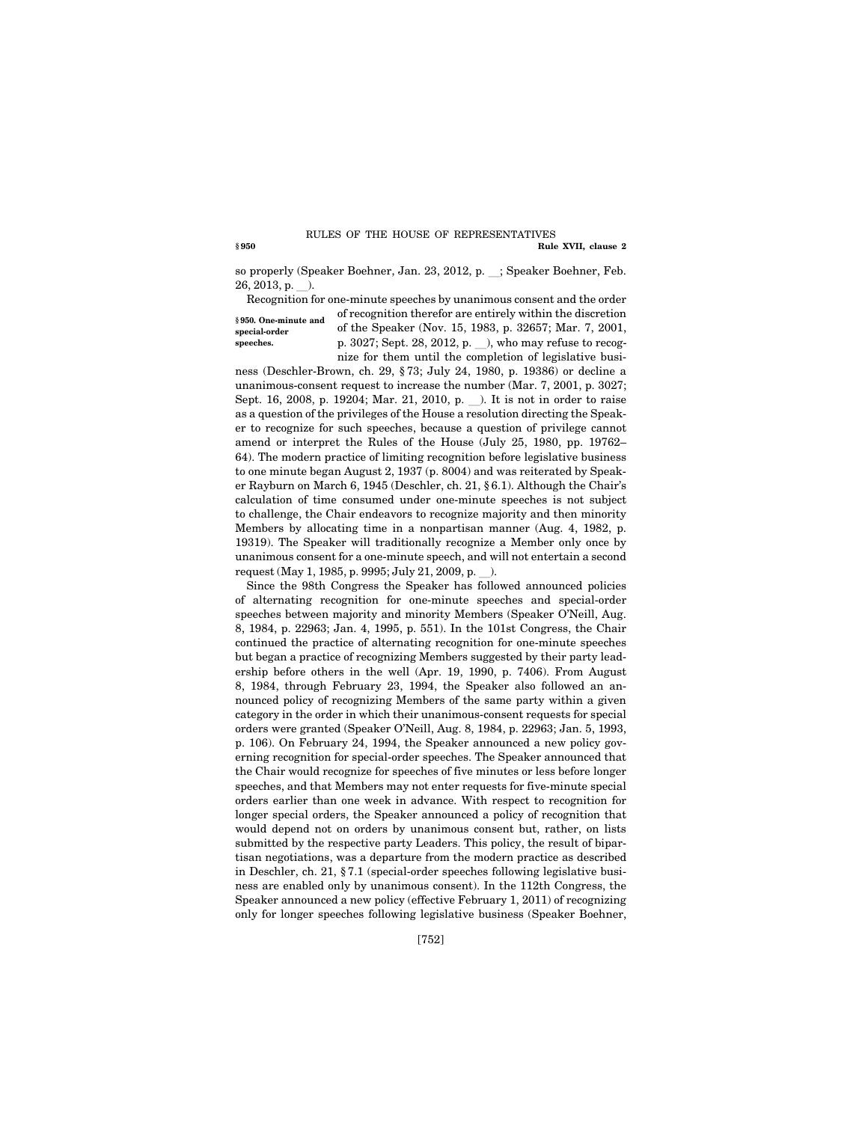#### **§ 950 Rule XVII, clause 2**  RULES OF THE HOUSE OF REPRESENTATIVES

so properly (Speaker Boehner, Jan. 23, 2012, p. \_; Speaker Boehner, Feb.  $26, 2013, p.$ ).

Recognition for one-minute speeches by unanimous consent and the order **§ 950. One-minute and special-order speeches.** 

of recognition therefor are entirely within the discretion of the Speaker (Nov. 15, 1983, p. 32657; Mar. 7, 2001, p. 3027; Sept. 28, 2012, p. \_), who may refuse to recognize for them until the completion of legislative busi-

ness (Deschler-Brown, ch. 29, § 73; July 24, 1980, p. 19386) or decline a unanimous-consent request to increase the number (Mar. 7, 2001, p. 3027; Sept. 16, 2008, p. 19204; Mar. 21, 2010, p. ). It is not in order to raise as a question of the privileges of the House a resolution directing the Speaker to recognize for such speeches, because a question of privilege cannot amend or interpret the Rules of the House (July 25, 1980, pp. 19762– 64). The modern practice of limiting recognition before legislative business to one minute began August 2, 1937 (p. 8004) and was reiterated by Speaker Rayburn on March 6, 1945 (Deschler, ch. 21, § 6.1). Although the Chair's calculation of time consumed under one-minute speeches is not subject to challenge, the Chair endeavors to recognize majority and then minority Members by allocating time in a nonpartisan manner (Aug. 4, 1982, p. 19319). The Speaker will traditionally recognize a Member only once by unanimous consent for a one-minute speech, and will not entertain a second request (May 1, 1985, p. 9995; July 21, 2009, p. ).

Since the 98th Congress the Speaker has followed announced policies of alternating recognition for one-minute speeches and special-order speeches between majority and minority Members (Speaker O'Neill, Aug. 8, 1984, p. 22963; Jan. 4, 1995, p. 551). In the 101st Congress, the Chair continued the practice of alternating recognition for one-minute speeches but began a practice of recognizing Members suggested by their party leadership before others in the well (Apr. 19, 1990, p. 7406). From August 8, 1984, through February 23, 1994, the Speaker also followed an announced policy of recognizing Members of the same party within a given category in the order in which their unanimous-consent requests for special orders were granted (Speaker O'Neill, Aug. 8, 1984, p. 22963; Jan. 5, 1993, p. 106). On February 24, 1994, the Speaker announced a new policy governing recognition for special-order speeches. The Speaker announced that the Chair would recognize for speeches of five minutes or less before longer speeches, and that Members may not enter requests for five-minute special orders earlier than one week in advance. With respect to recognition for longer special orders, the Speaker announced a policy of recognition that would depend not on orders by unanimous consent but, rather, on lists submitted by the respective party Leaders. This policy, the result of bipartisan negotiations, was a departure from the modern practice as described in Deschler, ch. 21, § 7.1 (special-order speeches following legislative business are enabled only by unanimous consent). In the 112th Congress, the Speaker announced a new policy (effective February 1, 2011) of recognizing only for longer speeches following legislative business (Speaker Boehner,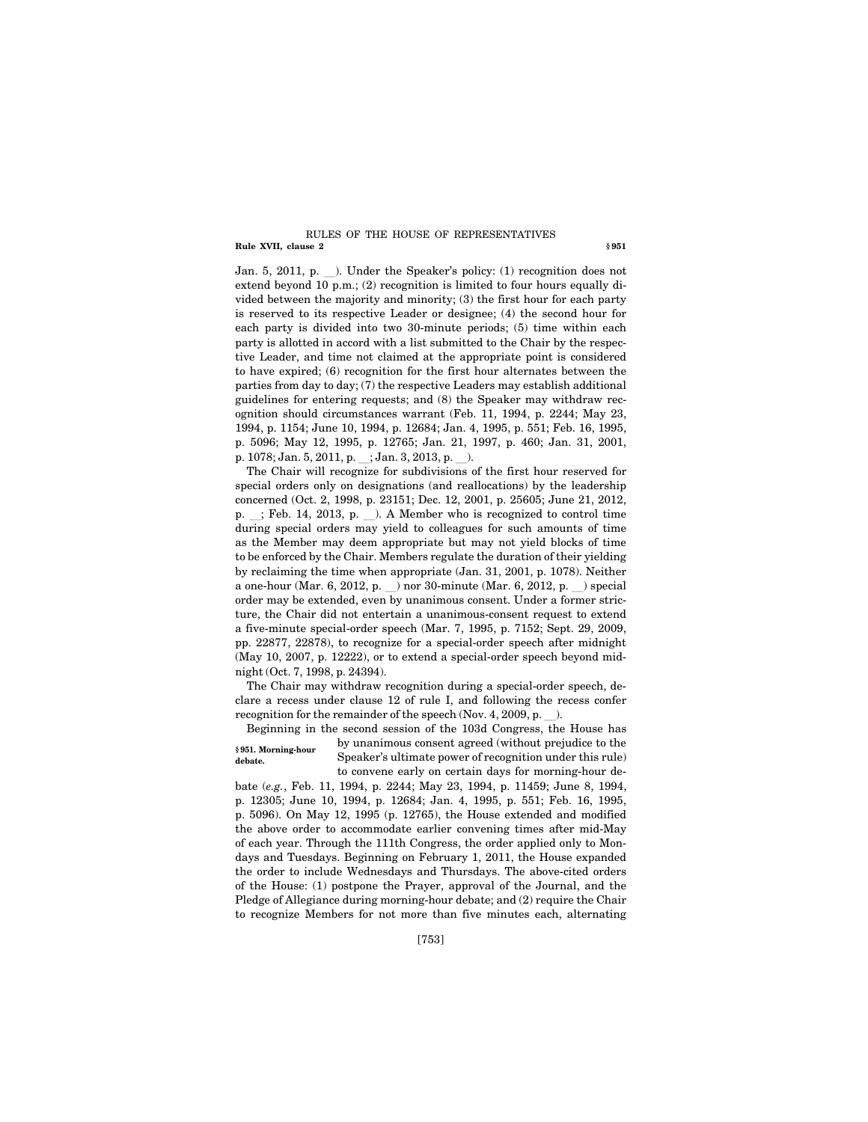#### **Rule XVII, clause 2** § 951 RULES OF THE HOUSE OF REPRESENTATIVES

Jan. 5, 2011, p. \_). Under the Speaker's policy: (1) recognition does not extend beyond 10 p.m.; (2) recognition is limited to four hours equally divided between the majority and minority; (3) the first hour for each party is reserved to its respective Leader or designee; (4) the second hour for each party is divided into two 30-minute periods; (5) time within each party is allotted in accord with a list submitted to the Chair by the respective Leader, and time not claimed at the appropriate point is considered to have expired; (6) recognition for the first hour alternates between the parties from day to day; (7) the respective Leaders may establish additional guidelines for entering requests; and (8) the Speaker may withdraw recognition should circumstances warrant (Feb. 11, 1994, p. 2244; May 23, 1994, p. 1154; June 10, 1994, p. 12684; Jan. 4, 1995, p. 551; Feb. 16, 1995, p. 5096; May 12, 1995, p. 12765; Jan. 21, 1997, p. 460; Jan. 31, 2001, p. 1078; Jan. 5, 2011, p. \_; Jan. 3, 2013, p. \_).

The Chair will recognize for subdivisions of the first hour reserved for special orders only on designations (and reallocations) by the leadership concerned (Oct. 2, 1998, p. 23151; Dec. 12, 2001, p. 25605; June 21, 2012, p.  $\therefore$  Feb. 14, 2013, p.  $\therefore$  A Member who is recognized to control time during special orders may yield to colleagues for such amounts of time as the Member may deem appropriate but may not yield blocks of time to be enforced by the Chair. Members regulate the duration of their yielding by reclaiming the time when appropriate (Jan. 31, 2001, p. 1078). Neither a one-hour (Mar. 6, 2012, p. ) nor 30-minute (Mar. 6, 2012, p. ) special order may be extended, even by unanimous consent. Under a former stricture, the Chair did not entertain a unanimous-consent request to extend a five-minute special-order speech (Mar. 7, 1995, p. 7152; Sept. 29, 2009, pp. 22877, 22878), to recognize for a special-order speech after midnight (May 10, 2007, p. 12222), or to extend a special-order speech beyond midnight (Oct. 7, 1998, p. 24394).

The Chair may withdraw recognition during a special-order speech, declare a recess under clause 12 of rule I, and following the recess confer recognition for the remainder of the speech (Nov. 4, 2009, p.  $\blacksquare$ ).

Beginning in the second session of the 103d Congress, the House has by unanimous consent agreed (without prejudice to the Speaker's ultimate power of recognition under this rule) to convene early on certain days for morning-hour de-**§ 951. Morning-hour debate.** 

bate (*e.g.*, Feb. 11, 1994, p. 2244; May 23, 1994, p. 11459; June 8, 1994, p. 12305; June 10, 1994, p. 12684; Jan. 4, 1995, p. 551; Feb. 16, 1995, p. 5096). On May 12, 1995 (p. 12765), the House extended and modified the above order to accommodate earlier convening times after mid-May of each year. Through the 111th Congress, the order applied only to Mondays and Tuesdays. Beginning on February 1, 2011, the House expanded the order to include Wednesdays and Thursdays. The above-cited orders of the House: (1) postpone the Prayer, approval of the Journal, and the Pledge of Allegiance during morning-hour debate; and (2) require the Chair to recognize Members for not more than five minutes each, alternating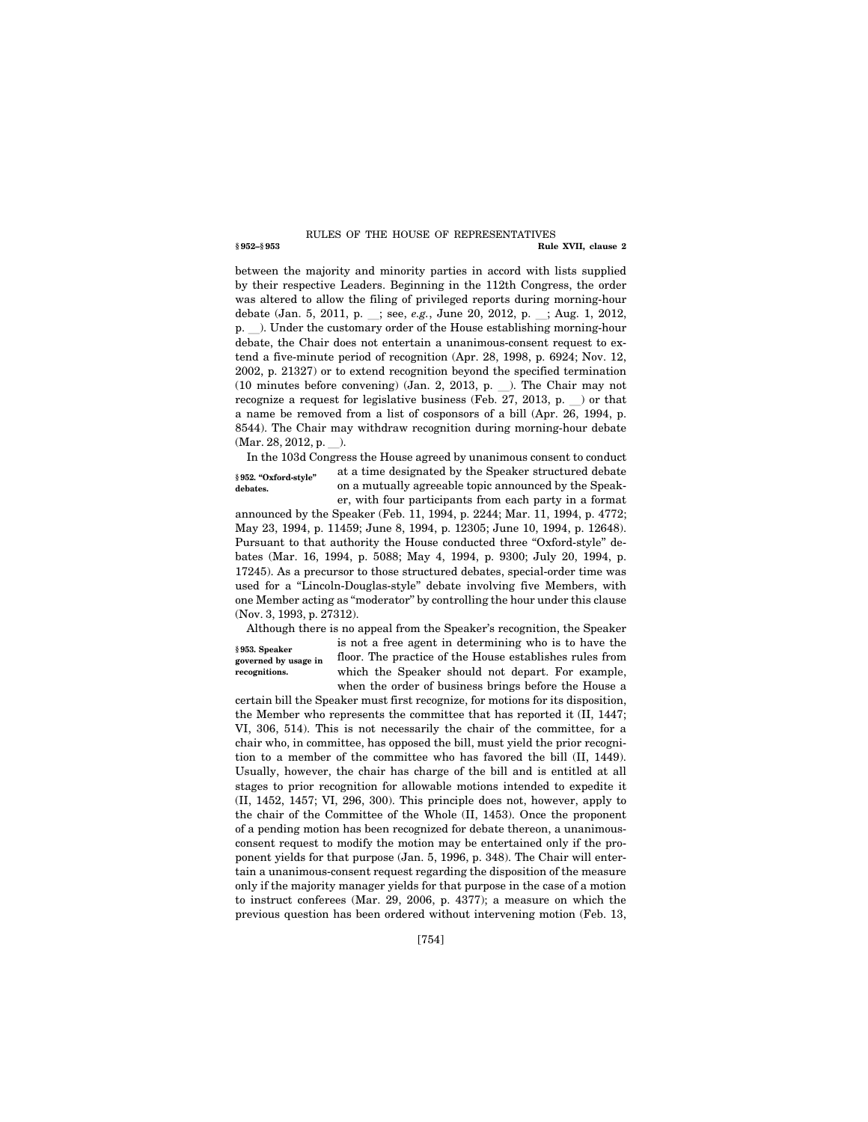#### **§ 952–§ 953 Rule XVII, clause 2**  RULES OF THE HOUSE OF REPRESENTATIVES

between the majority and minority parties in accord with lists supplied by their respective Leaders. Beginning in the 112th Congress, the order was altered to allow the filing of privileged reports during morning-hour debate (Jan. 5, 2011, p. \_; see, *e.g.*, June 20, 2012, p. \_; Aug. 1, 2012, p.  $\Box$ ). Under the customary order of the House establishing morning-hour debate, the Chair does not entertain a unanimous-consent request to extend a five-minute period of recognition (Apr. 28, 1998, p. 6924; Nov. 12, 2002, p. 21327) or to extend recognition beyond the specified termination (10 minutes before convening) (Jan. 2, 2013, p.  $\Box$ ). The Chair may not recognize a request for legislative business (Feb. 27, 2013, p. ) or that a name be removed from a list of cosponsors of a bill (Apr. 26, 1994, p. 8544). The Chair may withdraw recognition during morning-hour debate  $(Mar. 28, 2012, p. ...)$ .

**§ 952. ''Oxford-style'' debates.** 

In the 103d Congress the House agreed by unanimous consent to conduct at a time designated by the Speaker structured debate on a mutually agreeable topic announced by the Speaker, with four participants from each party in a format

announced by the Speaker (Feb. 11, 1994, p. 2244; Mar. 11, 1994, p. 4772; May 23, 1994, p. 11459; June 8, 1994, p. 12305; June 10, 1994, p. 12648). Pursuant to that authority the House conducted three "Oxford-style" debates (Mar. 16, 1994, p. 5088; May 4, 1994, p. 9300; July 20, 1994, p. 17245). As a precursor to those structured debates, special-order time was used for a "Lincoln-Douglas-style" debate involving five Members, with one Member acting as ''moderator'' by controlling the hour under this clause (Nov. 3, 1993, p. 27312).

**§ 953. Speaker governed by usage in recognitions.** 

Although there is no appeal from the Speaker's recognition, the Speaker is not a free agent in determining who is to have the floor. The practice of the House establishes rules from which the Speaker should not depart. For example, when the order of business brings before the House a

certain bill the Speaker must first recognize, for motions for its disposition, the Member who represents the committee that has reported it (II, 1447; VI, 306, 514). This is not necessarily the chair of the committee, for a chair who, in committee, has opposed the bill, must yield the prior recognition to a member of the committee who has favored the bill (II, 1449). Usually, however, the chair has charge of the bill and is entitled at all stages to prior recognition for allowable motions intended to expedite it (II, 1452, 1457; VI, 296, 300). This principle does not, however, apply to the chair of the Committee of the Whole (II, 1453). Once the proponent of a pending motion has been recognized for debate thereon, a unanimousconsent request to modify the motion may be entertained only if the proponent yields for that purpose (Jan. 5, 1996, p. 348). The Chair will entertain a unanimous-consent request regarding the disposition of the measure only if the majority manager yields for that purpose in the case of a motion to instruct conferees (Mar. 29, 2006, p. 4377); a measure on which the previous question has been ordered without intervening motion (Feb. 13,

[754]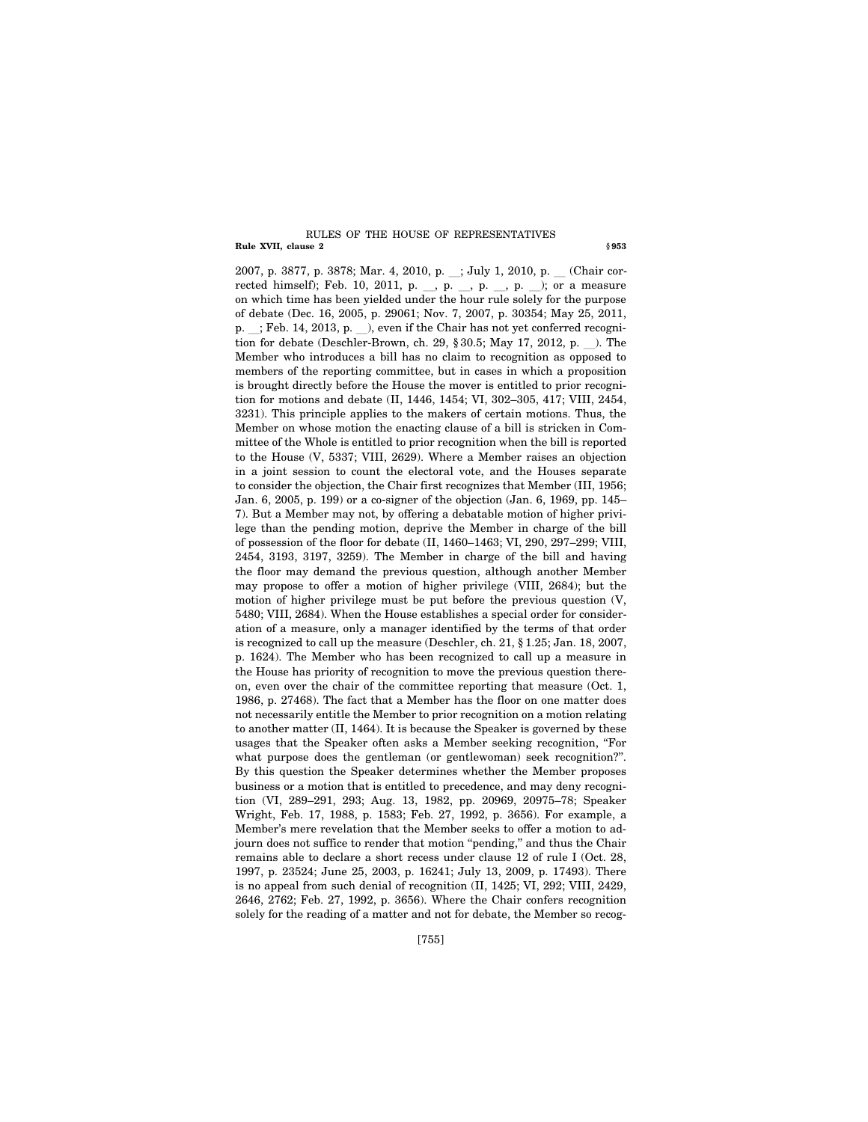#### **Rule XVII, clause 2** § 953 RULES OF THE HOUSE OF REPRESENTATIVES

2007, p. 3877, p. 3878; Mar. 4, 2010, p. \_; July 1, 2010, p. \_ (Chair corrected himself); Feb. 10, 2011, p. \_, p. \_, p. \_, p. \_); or a measure on which time has been yielded under the hour rule solely for the purpose of debate (Dec. 16, 2005, p. 29061; Nov. 7, 2007, p. 30354; May 25, 2011, p.  $\therefore$ ; Feb. 14, 2013, p.  $\therefore$ ), even if the Chair has not yet conferred recognition for debate (Deschler-Brown, ch. 29,  $\S 30.5$ ; May 17, 2012, p.  $\blacksquare$ ). The Member who introduces a bill has no claim to recognition as opposed to members of the reporting committee, but in cases in which a proposition is brought directly before the House the mover is entitled to prior recognition for motions and debate (II, 1446, 1454; VI, 302–305, 417; VIII, 2454, 3231). This principle applies to the makers of certain motions. Thus, the Member on whose motion the enacting clause of a bill is stricken in Committee of the Whole is entitled to prior recognition when the bill is reported to the House (V, 5337; VIII, 2629). Where a Member raises an objection in a joint session to count the electoral vote, and the Houses separate to consider the objection, the Chair first recognizes that Member (III, 1956; Jan. 6, 2005, p. 199) or a co-signer of the objection (Jan. 6, 1969, pp. 145– 7). But a Member may not, by offering a debatable motion of higher privilege than the pending motion, deprive the Member in charge of the bill of possession of the floor for debate (II, 1460–1463; VI, 290, 297–299; VIII, 2454, 3193, 3197, 3259). The Member in charge of the bill and having the floor may demand the previous question, although another Member may propose to offer a motion of higher privilege (VIII, 2684); but the motion of higher privilege must be put before the previous question (V, 5480; VIII, 2684). When the House establishes a special order for consideration of a measure, only a manager identified by the terms of that order is recognized to call up the measure (Deschler, ch. 21, § 1.25; Jan. 18, 2007, p. 1624). The Member who has been recognized to call up a measure in the House has priority of recognition to move the previous question thereon, even over the chair of the committee reporting that measure (Oct. 1, 1986, p. 27468). The fact that a Member has the floor on one matter does not necessarily entitle the Member to prior recognition on a motion relating to another matter (II, 1464). It is because the Speaker is governed by these usages that the Speaker often asks a Member seeking recognition, ''For what purpose does the gentleman (or gentlewoman) seek recognition?". By this question the Speaker determines whether the Member proposes business or a motion that is entitled to precedence, and may deny recognition (VI, 289–291, 293; Aug. 13, 1982, pp. 20969, 20975–78; Speaker Wright, Feb. 17, 1988, p. 1583; Feb. 27, 1992, p. 3656). For example, a Member's mere revelation that the Member seeks to offer a motion to adjourn does not suffice to render that motion ''pending,'' and thus the Chair remains able to declare a short recess under clause 12 of rule I (Oct. 28, 1997, p. 23524; June 25, 2003, p. 16241; July 13, 2009, p. 17493). There is no appeal from such denial of recognition (II, 1425; VI, 292; VIII, 2429, 2646, 2762; Feb. 27, 1992, p. 3656). Where the Chair confers recognition solely for the reading of a matter and not for debate, the Member so recog-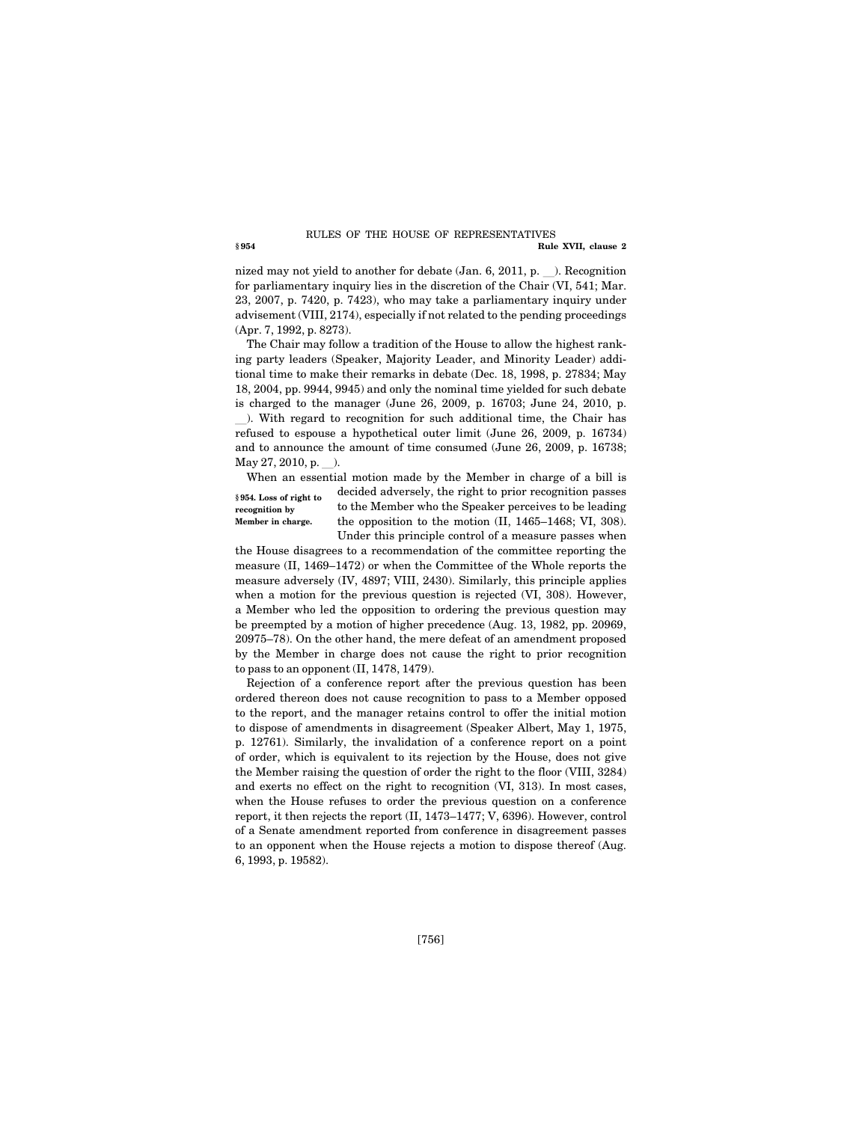#### **§ 954 Rule XVII, clause 2**  RULES OF THE HOUSE OF REPRESENTATIVES

nized may not yield to another for debate (Jan. 6, 2011, p.  $\Box$ ). Recognition for parliamentary inquiry lies in the discretion of the Chair (VI, 541; Mar. 23, 2007, p. 7420, p. 7423), who may take a parliamentary inquiry under advisement (VIII, 2174), especially if not related to the pending proceedings (Apr. 7, 1992, p. 8273).

The Chair may follow a tradition of the House to allow the highest ranking party leaders (Speaker, Majority Leader, and Minority Leader) additional time to make their remarks in debate (Dec. 18, 1998, p. 27834; May 18, 2004, pp. 9944, 9945) and only the nominal time yielded for such debate is charged to the manager (June 26, 2009, p. 16703; June 24, 2010, p. l). With regard to recognition for such additional time, the Chair has refused to espouse a hypothetical outer limit (June 26, 2009, p. 16734) and to announce the amount of time consumed (June 26, 2009, p. 16738;  $May 27, 2010, p.$ ).

When an essential motion made by the Member in charge of a bill is **§ 954. Loss of right to recognition by Member in charge.** 

decided adversely, the right to prior recognition passes to the Member who the Speaker perceives to be leading the opposition to the motion (II, 1465–1468; VI, 308). Under this principle control of a measure passes when

the House disagrees to a recommendation of the committee reporting the measure (II, 1469–1472) or when the Committee of the Whole reports the measure adversely (IV, 4897; VIII, 2430). Similarly, this principle applies when a motion for the previous question is rejected  $(VI, 308)$ . However, a Member who led the opposition to ordering the previous question may be preempted by a motion of higher precedence (Aug. 13, 1982, pp. 20969, 20975–78). On the other hand, the mere defeat of an amendment proposed by the Member in charge does not cause the right to prior recognition to pass to an opponent (II, 1478, 1479).

Rejection of a conference report after the previous question has been ordered thereon does not cause recognition to pass to a Member opposed to the report, and the manager retains control to offer the initial motion to dispose of amendments in disagreement (Speaker Albert, May 1, 1975, p. 12761). Similarly, the invalidation of a conference report on a point of order, which is equivalent to its rejection by the House, does not give the Member raising the question of order the right to the floor (VIII, 3284) and exerts no effect on the right to recognition (VI, 313). In most cases, when the House refuses to order the previous question on a conference report, it then rejects the report (II, 1473–1477; V, 6396). However, control of a Senate amendment reported from conference in disagreement passes to an opponent when the House rejects a motion to dispose thereof (Aug. 6, 1993, p. 19582).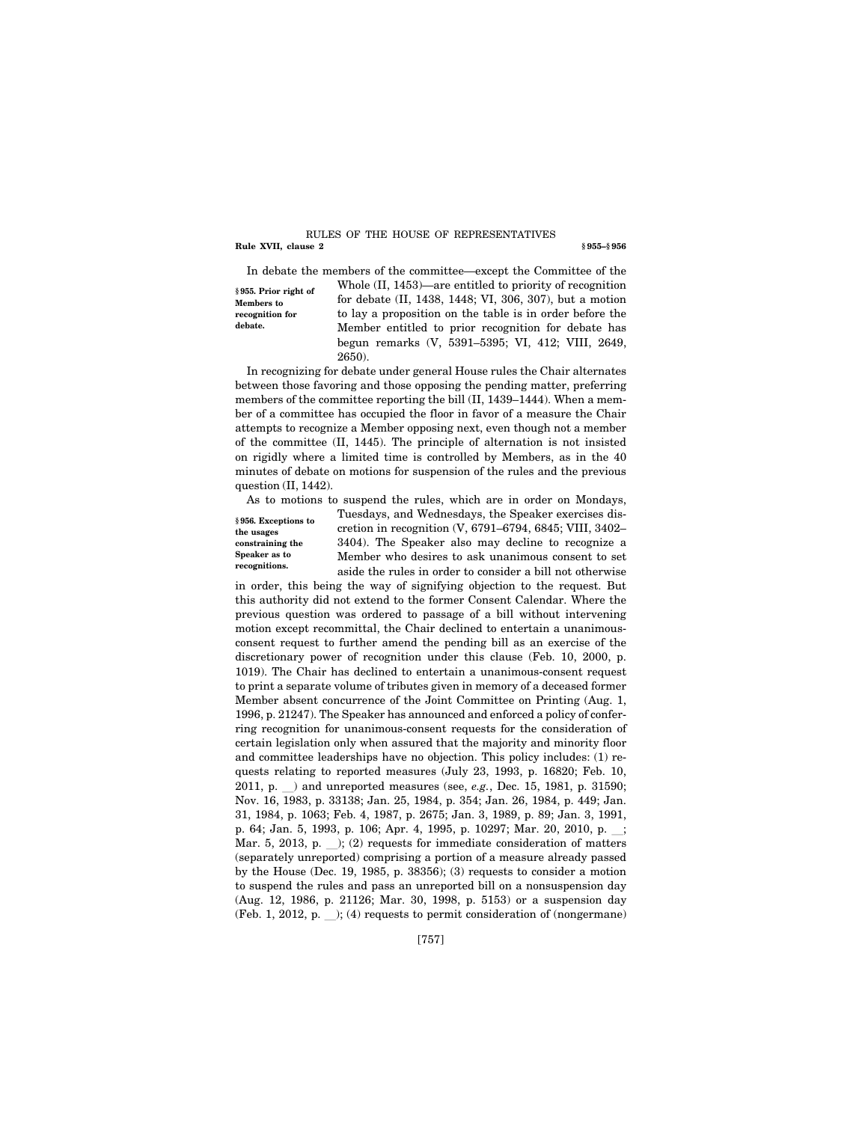#### **Rule XVII, clause 2** § 955–§ 956 RULES OF THE HOUSE OF REPRESENTATIVES

**§ 955. Prior right of Members to recognition for debate.** 

In debate the members of the committee—except the Committee of the Whole (II, 1453)—are entitled to priority of recognition for debate (II, 1438, 1448; VI, 306, 307), but a motion to lay a proposition on the table is in order before the Member entitled to prior recognition for debate has begun remarks (V, 5391–5395; VI, 412; VIII, 2649, 2650).

In recognizing for debate under general House rules the Chair alternates between those favoring and those opposing the pending matter, preferring members of the committee reporting the bill (II, 1439–1444). When a member of a committee has occupied the floor in favor of a measure the Chair attempts to recognize a Member opposing next, even though not a member of the committee (II, 1445). The principle of alternation is not insisted on rigidly where a limited time is controlled by Members, as in the 40 minutes of debate on motions for suspension of the rules and the previous question (II, 1442).

As to motions to suspend the rules, which are in order on Mondays,

**§ 956. Exceptions to the usages constraining the Speaker as to recognitions.** 

Tuesdays, and Wednesdays, the Speaker exercises discretion in recognition (V, 6791–6794, 6845; VIII, 3402– 3404). The Speaker also may decline to recognize a Member who desires to ask unanimous consent to set aside the rules in order to consider a bill not otherwise

in order, this being the way of signifying objection to the request. But this authority did not extend to the former Consent Calendar. Where the previous question was ordered to passage of a bill without intervening motion except recommittal, the Chair declined to entertain a unanimousconsent request to further amend the pending bill as an exercise of the discretionary power of recognition under this clause (Feb. 10, 2000, p. 1019). The Chair has declined to entertain a unanimous-consent request to print a separate volume of tributes given in memory of a deceased former Member absent concurrence of the Joint Committee on Printing (Aug. 1, 1996, p. 21247). The Speaker has announced and enforced a policy of conferring recognition for unanimous-consent requests for the consideration of certain legislation only when assured that the majority and minority floor and committee leaderships have no objection. This policy includes: (1) requests relating to reported measures (July 23, 1993, p. 16820; Feb. 10, 2011, p.  $\Box$ ) and unreported measures (see, *e.g.*, Dec. 15, 1981, p. 31590; Nov. 16, 1983, p. 33138; Jan. 25, 1984, p. 354; Jan. 26, 1984, p. 449; Jan. 31, 1984, p. 1063; Feb. 4, 1987, p. 2675; Jan. 3, 1989, p. 89; Jan. 3, 1991, p. 64; Jan. 5, 1993, p. 106; Apr. 4, 1995, p. 10297; Mar. 20, 2010, p. .; Mar. 5, 2013, p.  $\Box$ ; (2) requests for immediate consideration of matters (separately unreported) comprising a portion of a measure already passed by the House (Dec. 19, 1985, p. 38356); (3) requests to consider a motion to suspend the rules and pass an unreported bill on a nonsuspension day (Aug. 12, 1986, p. 21126; Mar. 30, 1998, p. 5153) or a suspension day (Feb. 1, 2012, p.  $\rightarrow$ ); (4) requests to permit consideration of (nongermane)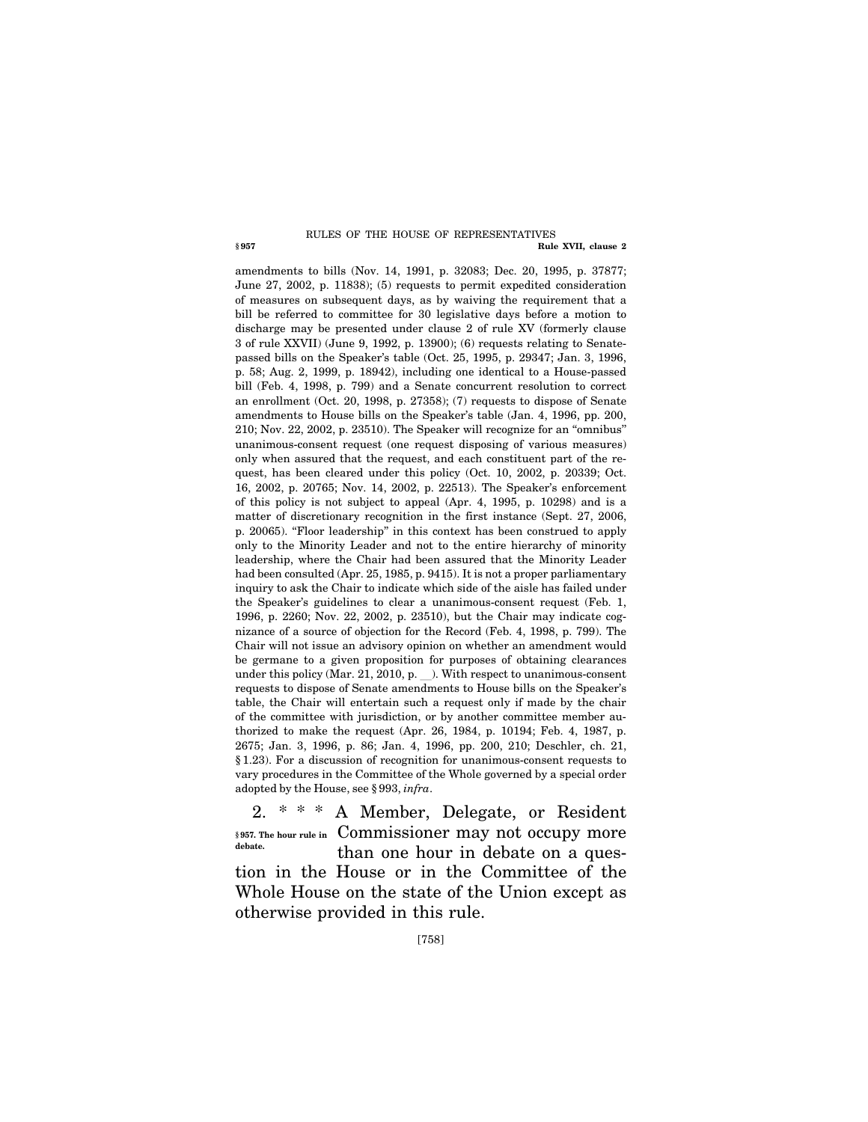#### **§ 957 Rule XVII, clause 2**  RULES OF THE HOUSE OF REPRESENTATIVES

amendments to bills (Nov. 14, 1991, p. 32083; Dec. 20, 1995, p. 37877; June 27, 2002, p. 11838); (5) requests to permit expedited consideration of measures on subsequent days, as by waiving the requirement that a bill be referred to committee for 30 legislative days before a motion to discharge may be presented under clause 2 of rule XV (formerly clause 3 of rule XXVII) (June 9, 1992, p. 13900); (6) requests relating to Senatepassed bills on the Speaker's table (Oct. 25, 1995, p. 29347; Jan. 3, 1996, p. 58; Aug. 2, 1999, p. 18942), including one identical to a House-passed bill (Feb. 4, 1998, p. 799) and a Senate concurrent resolution to correct an enrollment (Oct. 20, 1998, p. 27358); (7) requests to dispose of Senate amendments to House bills on the Speaker's table (Jan. 4, 1996, pp. 200, 210; Nov. 22, 2002, p. 23510). The Speaker will recognize for an ''omnibus'' unanimous-consent request (one request disposing of various measures) only when assured that the request, and each constituent part of the request, has been cleared under this policy (Oct. 10, 2002, p. 20339; Oct. 16, 2002, p. 20765; Nov. 14, 2002, p. 22513). The Speaker's enforcement of this policy is not subject to appeal (Apr. 4, 1995, p. 10298) and is a matter of discretionary recognition in the first instance (Sept. 27, 2006, p. 20065). ''Floor leadership'' in this context has been construed to apply only to the Minority Leader and not to the entire hierarchy of minority leadership, where the Chair had been assured that the Minority Leader had been consulted (Apr. 25, 1985, p. 9415). It is not a proper parliamentary inquiry to ask the Chair to indicate which side of the aisle has failed under the Speaker's guidelines to clear a unanimous-consent request (Feb. 1, 1996, p. 2260; Nov. 22, 2002, p. 23510), but the Chair may indicate cognizance of a source of objection for the Record (Feb. 4, 1998, p. 799). The Chair will not issue an advisory opinion on whether an amendment would be germane to a given proposition for purposes of obtaining clearances under this policy (Mar. 21, 2010, p.  $\Box$ ). With respect to unanimous-consent requests to dispose of Senate amendments to House bills on the Speaker's table, the Chair will entertain such a request only if made by the chair of the committee with jurisdiction, or by another committee member authorized to make the request (Apr. 26, 1984, p. 10194; Feb. 4, 1987, p. 2675; Jan. 3, 1996, p. 86; Jan. 4, 1996, pp. 200, 210; Deschler, ch. 21, § 1.23). For a discussion of recognition for unanimous-consent requests to vary procedures in the Committee of the Whole governed by a special order adopted by the House, see § 993, *infra*.

2. \* \* \* A Member, Delegate, or Resident §957. The hour rule in Commissioner may not occupy more than one hour in debate on a question in the House or in the Committee of the Whole House on the state of the Union except as otherwise provided in this rule. **debate.**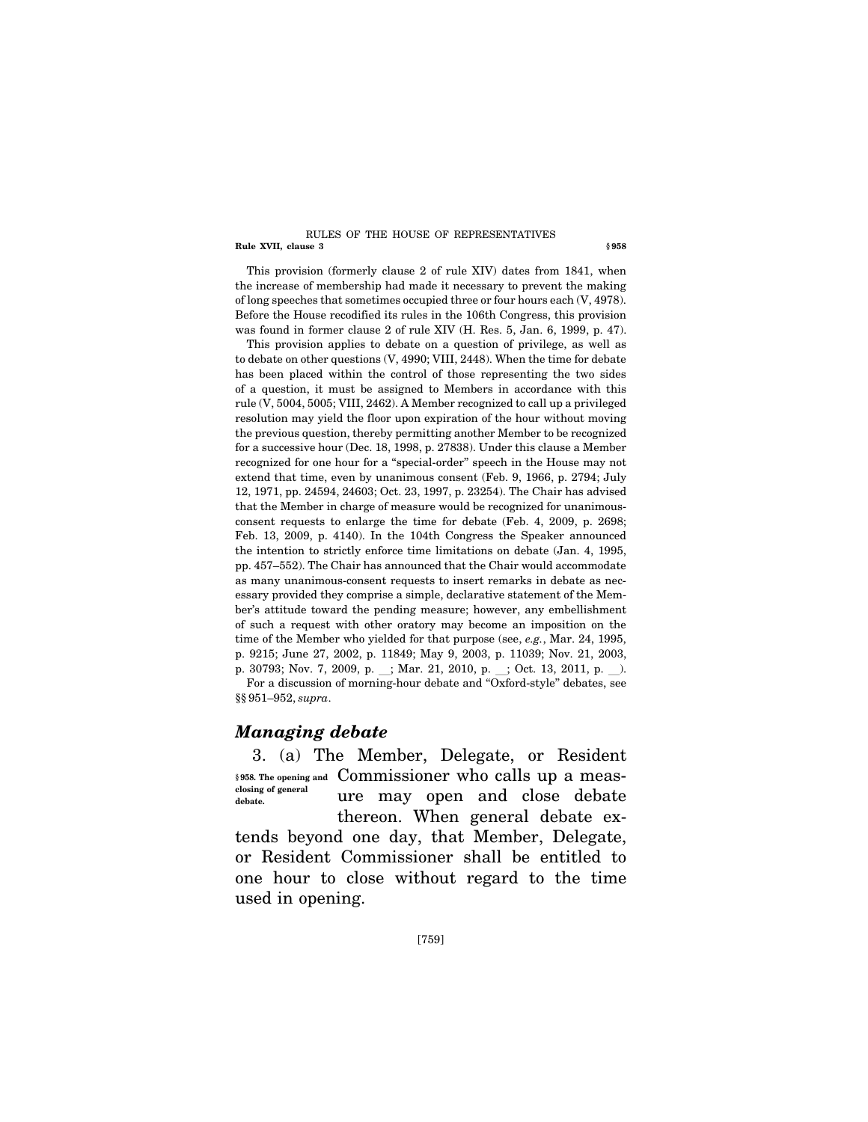#### **Rule XVII, clause 3 § 958**  RULES OF THE HOUSE OF REPRESENTATIVES

This provision (formerly clause 2 of rule XIV) dates from 1841, when the increase of membership had made it necessary to prevent the making of long speeches that sometimes occupied three or four hours each (V, 4978). Before the House recodified its rules in the 106th Congress, this provision was found in former clause 2 of rule XIV (H. Res. 5, Jan. 6, 1999, p. 47).

This provision applies to debate on a question of privilege, as well as to debate on other questions (V, 4990; VIII, 2448). When the time for debate has been placed within the control of those representing the two sides of a question, it must be assigned to Members in accordance with this rule (V, 5004, 5005; VIII, 2462). A Member recognized to call up a privileged resolution may yield the floor upon expiration of the hour without moving the previous question, thereby permitting another Member to be recognized for a successive hour (Dec. 18, 1998, p. 27838). Under this clause a Member recognized for one hour for a ''special-order'' speech in the House may not extend that time, even by unanimous consent (Feb. 9, 1966, p. 2794; July 12, 1971, pp. 24594, 24603; Oct. 23, 1997, p. 23254). The Chair has advised that the Member in charge of measure would be recognized for unanimousconsent requests to enlarge the time for debate (Feb. 4, 2009, p. 2698; Feb. 13, 2009, p. 4140). In the 104th Congress the Speaker announced the intention to strictly enforce time limitations on debate (Jan. 4, 1995, pp. 457–552). The Chair has announced that the Chair would accommodate as many unanimous-consent requests to insert remarks in debate as necessary provided they comprise a simple, declarative statement of the Member's attitude toward the pending measure; however, any embellishment of such a request with other oratory may become an imposition on the time of the Member who yielded for that purpose (see, *e.g.*, Mar. 24, 1995, p. 9215; June 27, 2002, p. 11849; May 9, 2003, p. 11039; Nov. 21, 2003, p. 30793; Nov. 7, 2009, p. ; Mar. 21, 2010, p. ; Oct. 13, 2011, p. ). For a discussion of morning-hour debate and ''Oxford-style'' debates, see §§ 951–952, *supra*.

# *Managing debate*

3. (a) The Member, Delegate, or Resident Commissioner who calls up a meas-**§ 958. The opening and**  ure may open and close debate thereon. When general debate extends beyond one day, that Member, Delegate, or Resident Commissioner shall be entitled to one hour to close without regard to the time used in opening. **closing of general debate.**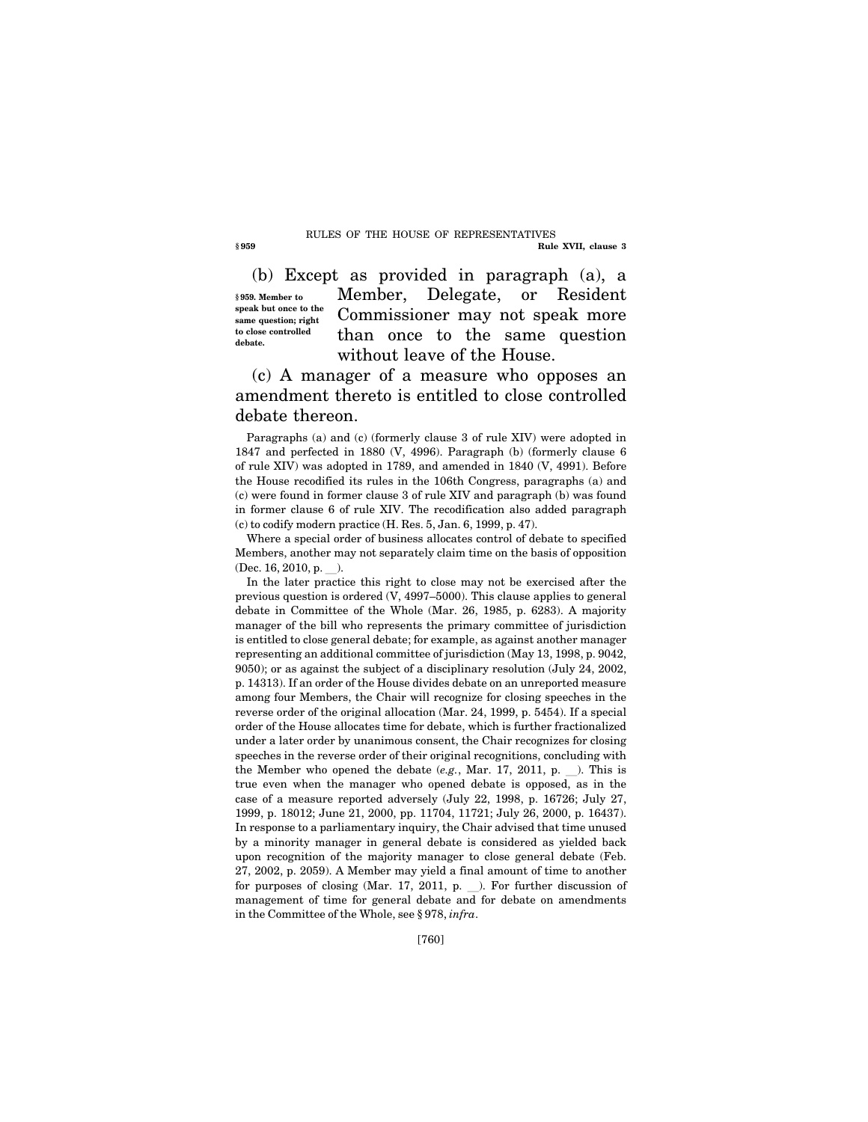#### **§ 959 Rule XVII, clause 3**  RULES OF THE HOUSE OF REPRESENTATIVES

(b) Except as provided in paragraph (a), a **§ 959. Member to speak but once to the same question; right to close controlled debate.** 

Member, Delegate, or Resident Commissioner may not speak more than once to the same question without leave of the House.

(c) A manager of a measure who opposes an amendment thereto is entitled to close controlled debate thereon.

Paragraphs (a) and (c) (formerly clause 3 of rule XIV) were adopted in 1847 and perfected in 1880 (V, 4996). Paragraph (b) (formerly clause 6 of rule XIV) was adopted in 1789, and amended in 1840 (V, 4991). Before the House recodified its rules in the 106th Congress, paragraphs (a) and (c) were found in former clause 3 of rule XIV and paragraph (b) was found in former clause 6 of rule XIV. The recodification also added paragraph (c) to codify modern practice (H. Res. 5, Jan. 6, 1999, p. 47).

Where a special order of business allocates control of debate to specified Members, another may not separately claim time on the basis of opposition  $(Dec. 16, 2010, p. )$ .

In the later practice this right to close may not be exercised after the previous question is ordered (V, 4997–5000). This clause applies to general debate in Committee of the Whole (Mar. 26, 1985, p. 6283). A majority manager of the bill who represents the primary committee of jurisdiction is entitled to close general debate; for example, as against another manager representing an additional committee of jurisdiction (May 13, 1998, p. 9042, 9050); or as against the subject of a disciplinary resolution (July 24, 2002, p. 14313). If an order of the House divides debate on an unreported measure among four Members, the Chair will recognize for closing speeches in the reverse order of the original allocation (Mar. 24, 1999, p. 5454). If a special order of the House allocates time for debate, which is further fractionalized under a later order by unanimous consent, the Chair recognizes for closing speeches in the reverse order of their original recognitions, concluding with the Member who opened the debate  $(e.g., Mar. 17, 2011, p.$  ). This is true even when the manager who opened debate is opposed, as in the case of a measure reported adversely (July 22, 1998, p. 16726; July 27, 1999, p. 18012; June 21, 2000, pp. 11704, 11721; July 26, 2000, p. 16437). In response to a parliamentary inquiry, the Chair advised that time unused by a minority manager in general debate is considered as yielded back upon recognition of the majority manager to close general debate (Feb. 27, 2002, p. 2059). A Member may yield a final amount of time to another for purposes of closing (Mar. 17, 2011, p.  $\Box$ ). For further discussion of management of time for general debate and for debate on amendments in the Committee of the Whole, see § 978, *infra*.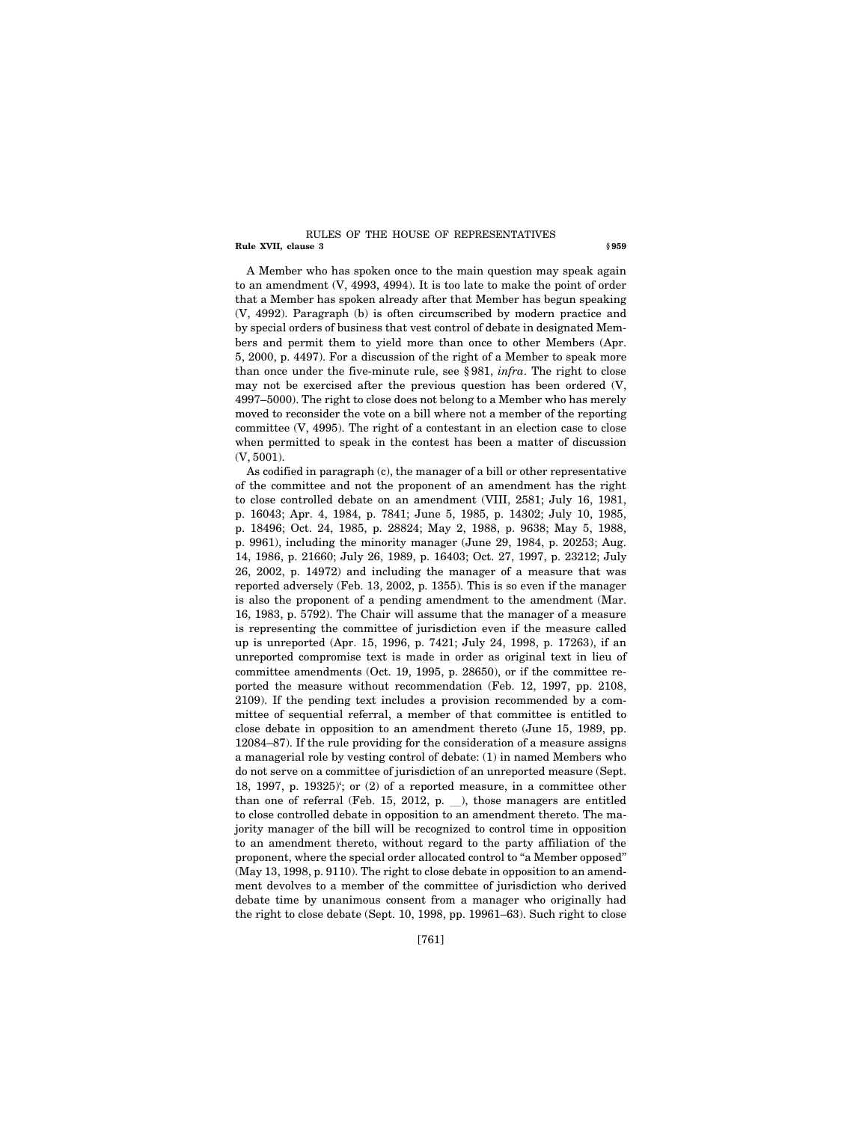#### **Rule XVII, clause 3** § 959 RULES OF THE HOUSE OF REPRESENTATIVES

A Member who has spoken once to the main question may speak again to an amendment (V, 4993, 4994). It is too late to make the point of order that a Member has spoken already after that Member has begun speaking (V, 4992). Paragraph (b) is often circumscribed by modern practice and by special orders of business that vest control of debate in designated Members and permit them to yield more than once to other Members (Apr. 5, 2000, p. 4497). For a discussion of the right of a Member to speak more than once under the five-minute rule, see § 981, *infra*. The right to close may not be exercised after the previous question has been ordered (V, 4997–5000). The right to close does not belong to a Member who has merely moved to reconsider the vote on a bill where not a member of the reporting committee (V, 4995). The right of a contestant in an election case to close when permitted to speak in the contest has been a matter of discussion (V, 5001).

As codified in paragraph (c), the manager of a bill or other representative of the committee and not the proponent of an amendment has the right to close controlled debate on an amendment (VIII, 2581; July 16, 1981, p. 16043; Apr. 4, 1984, p. 7841; June 5, 1985, p. 14302; July 10, 1985, p. 18496; Oct. 24, 1985, p. 28824; May 2, 1988, p. 9638; May 5, 1988, p. 9961), including the minority manager (June 29, 1984, p. 20253; Aug. 14, 1986, p. 21660; July 26, 1989, p. 16403; Oct. 27, 1997, p. 23212; July 26, 2002, p. 14972) and including the manager of a measure that was reported adversely (Feb. 13, 2002, p. 1355). This is so even if the manager is also the proponent of a pending amendment to the amendment (Mar. 16, 1983, p. 5792). The Chair will assume that the manager of a measure is representing the committee of jurisdiction even if the measure called up is unreported (Apr. 15, 1996, p. 7421; July 24, 1998, p. 17263), if an unreported compromise text is made in order as original text in lieu of committee amendments (Oct. 19, 1995, p. 28650), or if the committee reported the measure without recommendation (Feb. 12, 1997, pp. 2108, 2109). If the pending text includes a provision recommended by a committee of sequential referral, a member of that committee is entitled to close debate in opposition to an amendment thereto (June 15, 1989, pp. 12084–87). If the rule providing for the consideration of a measure assigns a managerial role by vesting control of debate: (1) in named Members who do not serve on a committee of jurisdiction of an unreported measure (Sept. 18, 1997, p. 19325)'; or (2) of a reported measure, in a committee other than one of referral (Feb. 15, 2012, p.  $\_\_$ ), those managers are entitled to close controlled debate in opposition to an amendment thereto. The majority manager of the bill will be recognized to control time in opposition to an amendment thereto, without regard to the party affiliation of the proponent, where the special order allocated control to ''a Member opposed'' (May 13, 1998, p. 9110). The right to close debate in opposition to an amendment devolves to a member of the committee of jurisdiction who derived debate time by unanimous consent from a manager who originally had the right to close debate (Sept. 10, 1998, pp. 19961–63). Such right to close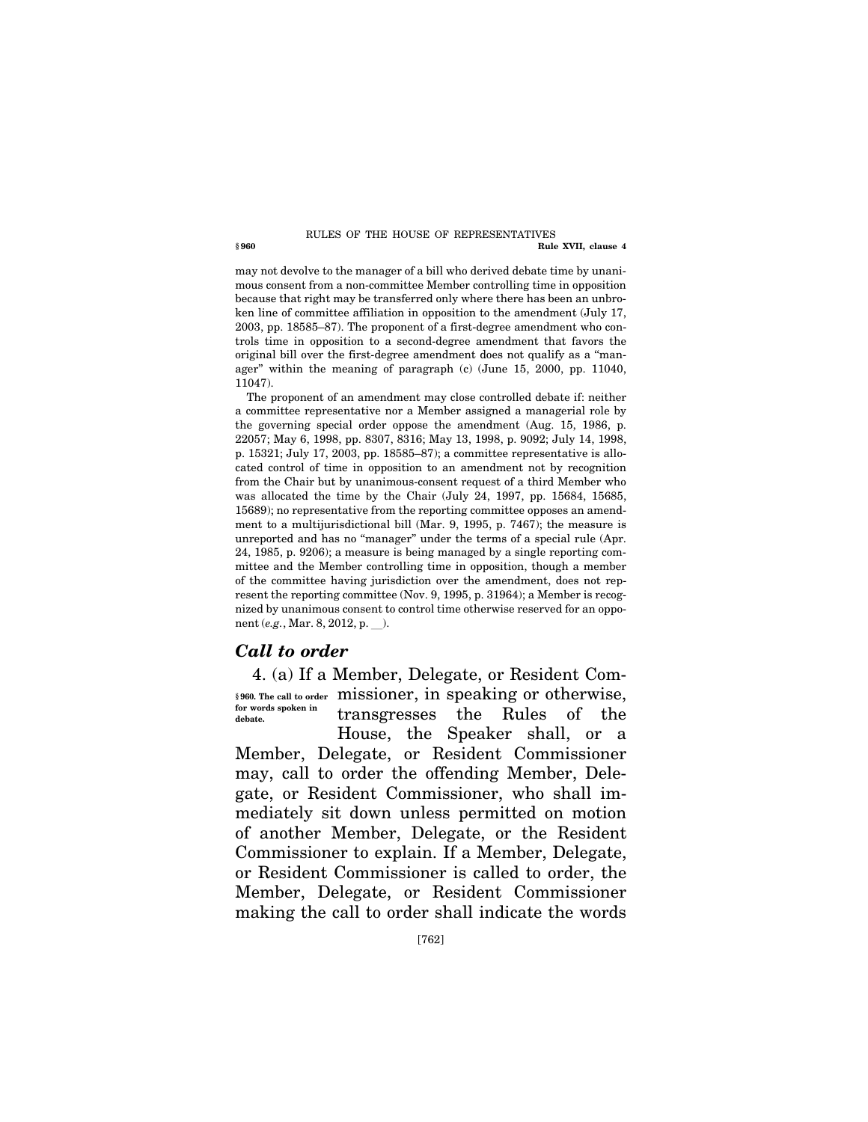#### **§ 960 Rule XVII, clause 4**  RULES OF THE HOUSE OF REPRESENTATIVES

may not devolve to the manager of a bill who derived debate time by unanimous consent from a non-committee Member controlling time in opposition because that right may be transferred only where there has been an unbroken line of committee affiliation in opposition to the amendment (July 17, 2003, pp. 18585–87). The proponent of a first-degree amendment who controls time in opposition to a second-degree amendment that favors the original bill over the first-degree amendment does not qualify as a ''manager'' within the meaning of paragraph (c) (June 15, 2000, pp. 11040, 11047).

The proponent of an amendment may close controlled debate if: neither a committee representative nor a Member assigned a managerial role by the governing special order oppose the amendment (Aug. 15, 1986, p. 22057; May 6, 1998, pp. 8307, 8316; May 13, 1998, p. 9092; July 14, 1998, p. 15321; July 17, 2003, pp. 18585–87); a committee representative is allocated control of time in opposition to an amendment not by recognition from the Chair but by unanimous-consent request of a third Member who was allocated the time by the Chair (July 24, 1997, pp. 15684, 15685, 15689); no representative from the reporting committee opposes an amendment to a multijurisdictional bill (Mar. 9, 1995, p. 7467); the measure is unreported and has no "manager" under the terms of a special rule (Apr. 24, 1985, p. 9206); a measure is being managed by a single reporting committee and the Member controlling time in opposition, though a member of the committee having jurisdiction over the amendment, does not represent the reporting committee (Nov. 9, 1995, p. 31964); a Member is recognized by unanimous consent to control time otherwise reserved for an opponent (*e.g.*, Mar. 8, 2012, p. ).

## *Call to order*

4. (a) If a Member, Delegate, or Resident Commissioner, in speaking or otherwise, **§ 960. The call to order**  transgresses the Rules of the House, the Speaker shall, or a Member, Delegate, or Resident Commissioner may, call to order the offending Member, Delegate, or Resident Commissioner, who shall immediately sit down unless permitted on motion of another Member, Delegate, or the Resident Commissioner to explain. If a Member, Delegate, or Resident Commissioner is called to order, the Member, Delegate, or Resident Commissioner making the call to order shall indicate the words **for words spoken in debate.**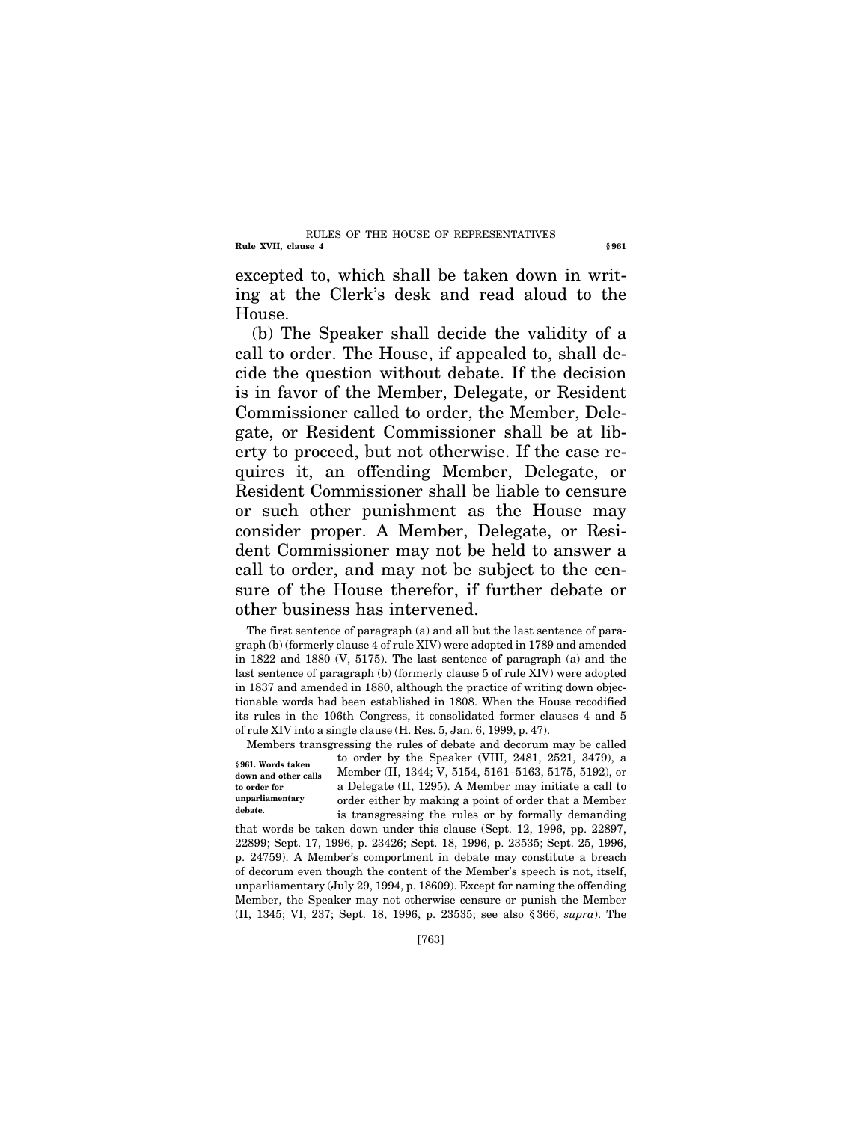#### **Rule XVII, clause 4** § 961 RULES OF THE HOUSE OF REPRESENTATIVES

excepted to, which shall be taken down in writing at the Clerk's desk and read aloud to the House.

(b) The Speaker shall decide the validity of a call to order. The House, if appealed to, shall decide the question without debate. If the decision is in favor of the Member, Delegate, or Resident Commissioner called to order, the Member, Delegate, or Resident Commissioner shall be at liberty to proceed, but not otherwise. If the case requires it, an offending Member, Delegate, or Resident Commissioner shall be liable to censure or such other punishment as the House may consider proper. A Member, Delegate, or Resident Commissioner may not be held to answer a call to order, and may not be subject to the censure of the House therefor, if further debate or other business has intervened.

The first sentence of paragraph (a) and all but the last sentence of paragraph (b) (formerly clause 4 of rule XIV) were adopted in 1789 and amended in 1822 and 1880 (V, 5175). The last sentence of paragraph (a) and the last sentence of paragraph (b) (formerly clause 5 of rule XIV) were adopted in 1837 and amended in 1880, although the practice of writing down objectionable words had been established in 1808. When the House recodified its rules in the 106th Congress, it consolidated former clauses 4 and 5 of rule XIV into a single clause (H. Res. 5, Jan. 6, 1999, p. 47).

**§ 961. Words taken down and other calls to order for unparliamentary debate.** 

Members transgressing the rules of debate and decorum may be called to order by the Speaker (VIII, 2481, 2521, 3479), a Member (II, 1344; V, 5154, 5161–5163, 5175, 5192), or a Delegate (II, 1295). A Member may initiate a call to order either by making a point of order that a Member is transgressing the rules or by formally demanding

that words be taken down under this clause (Sept. 12, 1996, pp. 22897, 22899; Sept. 17, 1996, p. 23426; Sept. 18, 1996, p. 23535; Sept. 25, 1996, p. 24759). A Member's comportment in debate may constitute a breach of decorum even though the content of the Member's speech is not, itself, unparliamentary (July 29, 1994, p. 18609). Except for naming the offending Member, the Speaker may not otherwise censure or punish the Member (II, 1345; VI, 237; Sept. 18, 1996, p. 23535; see also § 366, *supra*). The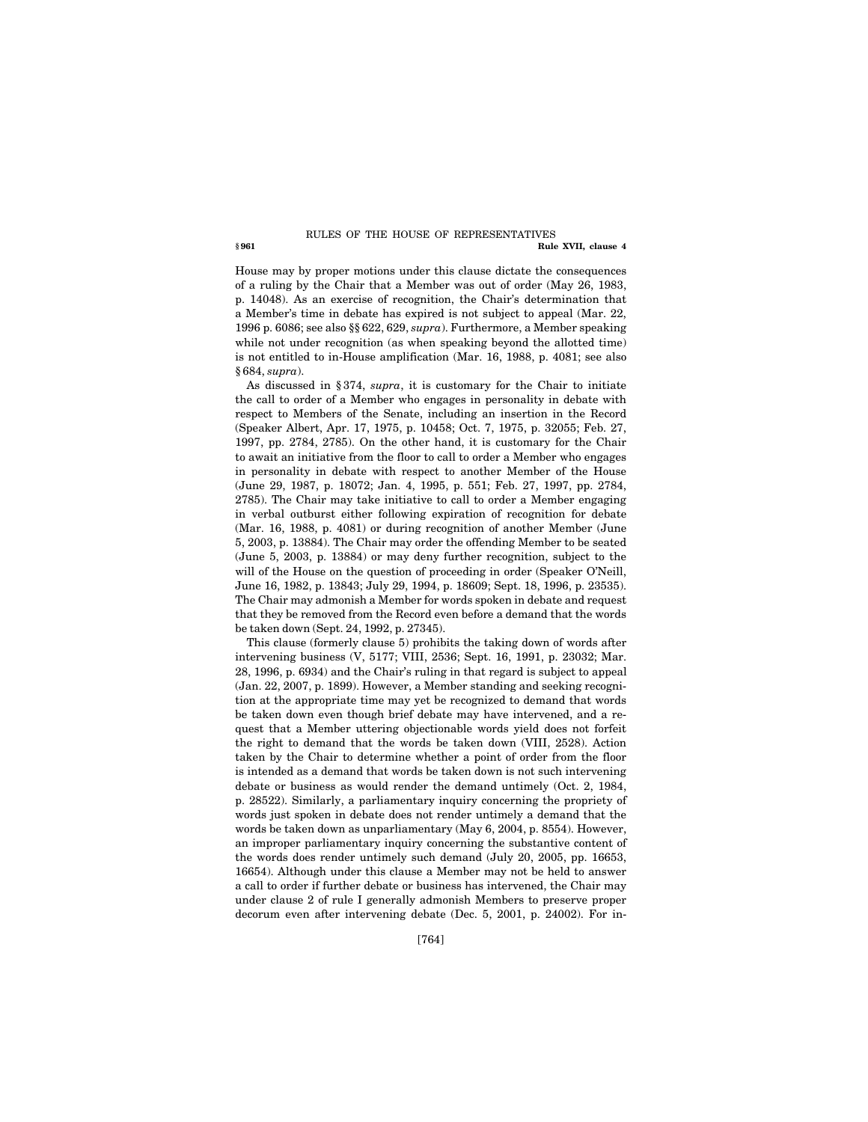#### **§ 961 Rule XVII, clause 4**  RULES OF THE HOUSE OF REPRESENTATIVES

House may by proper motions under this clause dictate the consequences of a ruling by the Chair that a Member was out of order (May 26, 1983, p. 14048). As an exercise of recognition, the Chair's determination that a Member's time in debate has expired is not subject to appeal (Mar. 22, 1996 p. 6086; see also §§ 622, 629, *supra*). Furthermore, a Member speaking while not under recognition (as when speaking beyond the allotted time) is not entitled to in-House amplification (Mar. 16, 1988, p. 4081; see also § 684, *supra*).

As discussed in § 374, *supra*, it is customary for the Chair to initiate the call to order of a Member who engages in personality in debate with respect to Members of the Senate, including an insertion in the Record (Speaker Albert, Apr. 17, 1975, p. 10458; Oct. 7, 1975, p. 32055; Feb. 27, 1997, pp. 2784, 2785). On the other hand, it is customary for the Chair to await an initiative from the floor to call to order a Member who engages in personality in debate with respect to another Member of the House (June 29, 1987, p. 18072; Jan. 4, 1995, p. 551; Feb. 27, 1997, pp. 2784, 2785). The Chair may take initiative to call to order a Member engaging in verbal outburst either following expiration of recognition for debate (Mar. 16, 1988, p. 4081) or during recognition of another Member (June 5, 2003, p. 13884). The Chair may order the offending Member to be seated (June 5, 2003, p. 13884) or may deny further recognition, subject to the will of the House on the question of proceeding in order (Speaker O'Neill, June 16, 1982, p. 13843; July 29, 1994, p. 18609; Sept. 18, 1996, p. 23535). The Chair may admonish a Member for words spoken in debate and request that they be removed from the Record even before a demand that the words be taken down (Sept. 24, 1992, p. 27345).

This clause (formerly clause 5) prohibits the taking down of words after intervening business (V, 5177; VIII, 2536; Sept. 16, 1991, p. 23032; Mar. 28, 1996, p. 6934) and the Chair's ruling in that regard is subject to appeal (Jan. 22, 2007, p. 1899). However, a Member standing and seeking recognition at the appropriate time may yet be recognized to demand that words be taken down even though brief debate may have intervened, and a request that a Member uttering objectionable words yield does not forfeit the right to demand that the words be taken down (VIII, 2528). Action taken by the Chair to determine whether a point of order from the floor is intended as a demand that words be taken down is not such intervening debate or business as would render the demand untimely (Oct. 2, 1984, p. 28522). Similarly, a parliamentary inquiry concerning the propriety of words just spoken in debate does not render untimely a demand that the words be taken down as unparliamentary (May 6, 2004, p. 8554). However, an improper parliamentary inquiry concerning the substantive content of the words does render untimely such demand (July 20, 2005, pp. 16653, 16654). Although under this clause a Member may not be held to answer a call to order if further debate or business has intervened, the Chair may under clause 2 of rule I generally admonish Members to preserve proper decorum even after intervening debate (Dec. 5, 2001, p. 24002). For in-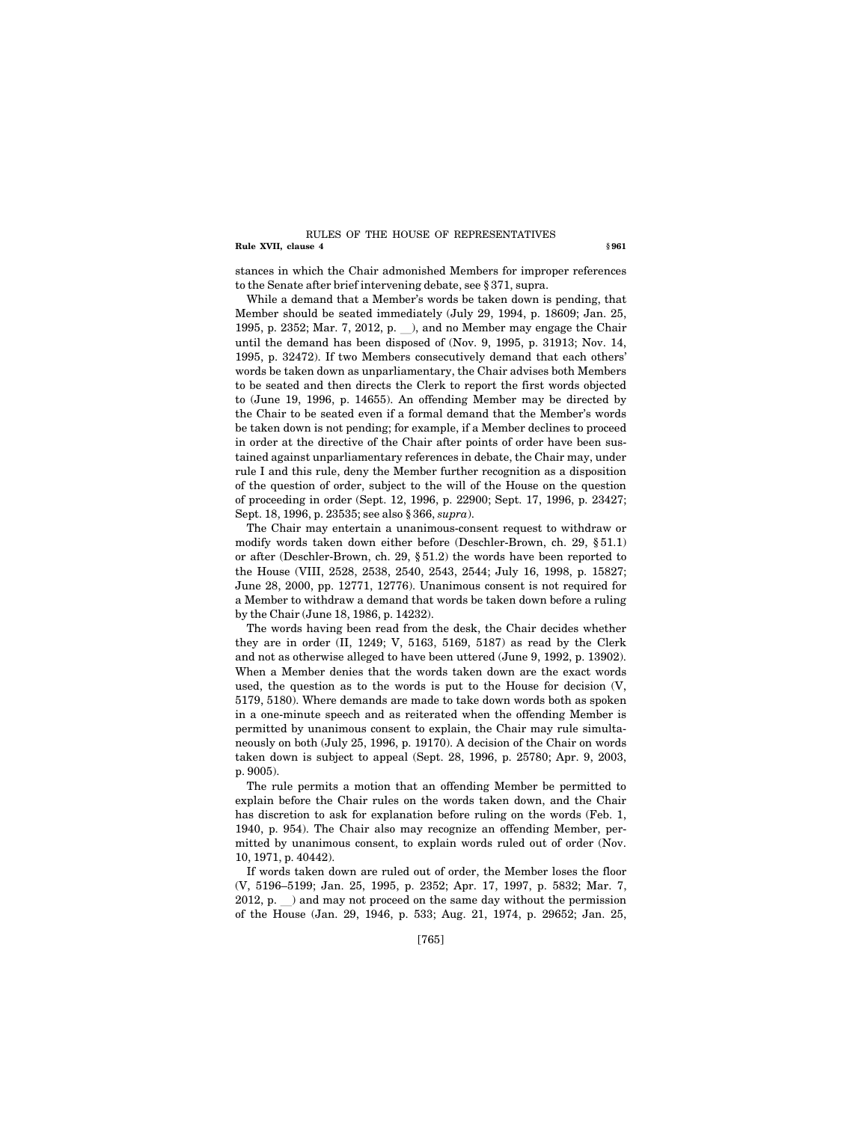#### **Rule XVII, clause 4** § 961 RULES OF THE HOUSE OF REPRESENTATIVES

stances in which the Chair admonished Members for improper references to the Senate after brief intervening debate, see § 371, supra.

While a demand that a Member's words be taken down is pending, that Member should be seated immediately (July 29, 1994, p. 18609; Jan. 25, 1995, p. 2352; Mar. 7, 2012, p. \_), and no Member may engage the Chair until the demand has been disposed of (Nov. 9, 1995, p. 31913; Nov. 14, 1995, p. 32472). If two Members consecutively demand that each others' words be taken down as unparliamentary, the Chair advises both Members to be seated and then directs the Clerk to report the first words objected to (June 19, 1996, p. 14655). An offending Member may be directed by the Chair to be seated even if a formal demand that the Member's words be taken down is not pending; for example, if a Member declines to proceed in order at the directive of the Chair after points of order have been sustained against unparliamentary references in debate, the Chair may, under rule I and this rule, deny the Member further recognition as a disposition of the question of order, subject to the will of the House on the question of proceeding in order (Sept. 12, 1996, p. 22900; Sept. 17, 1996, p. 23427; Sept. 18, 1996, p. 23535; see also § 366, *supra*).

The Chair may entertain a unanimous-consent request to withdraw or modify words taken down either before (Deschler-Brown, ch. 29, § 51.1) or after (Deschler-Brown, ch. 29, § 51.2) the words have been reported to the House (VIII, 2528, 2538, 2540, 2543, 2544; July 16, 1998, p. 15827; June 28, 2000, pp. 12771, 12776). Unanimous consent is not required for a Member to withdraw a demand that words be taken down before a ruling by the Chair (June 18, 1986, p. 14232).

The words having been read from the desk, the Chair decides whether they are in order (II, 1249; V, 5163, 5169, 5187) as read by the Clerk and not as otherwise alleged to have been uttered (June 9, 1992, p. 13902). When a Member denies that the words taken down are the exact words used, the question as to the words is put to the House for decision (V, 5179, 5180). Where demands are made to take down words both as spoken in a one-minute speech and as reiterated when the offending Member is permitted by unanimous consent to explain, the Chair may rule simultaneously on both (July 25, 1996, p. 19170). A decision of the Chair on words taken down is subject to appeal (Sept. 28, 1996, p. 25780; Apr. 9, 2003, p. 9005).

The rule permits a motion that an offending Member be permitted to explain before the Chair rules on the words taken down, and the Chair has discretion to ask for explanation before ruling on the words (Feb. 1, 1940, p. 954). The Chair also may recognize an offending Member, permitted by unanimous consent, to explain words ruled out of order (Nov. 10, 1971, p. 40442).

If words taken down are ruled out of order, the Member loses the floor (V, 5196–5199; Jan. 25, 1995, p. 2352; Apr. 17, 1997, p. 5832; Mar. 7,  $2012$ , p.  $\Box$ ) and may not proceed on the same day without the permission of the House (Jan. 29, 1946, p. 533; Aug. 21, 1974, p. 29652; Jan. 25,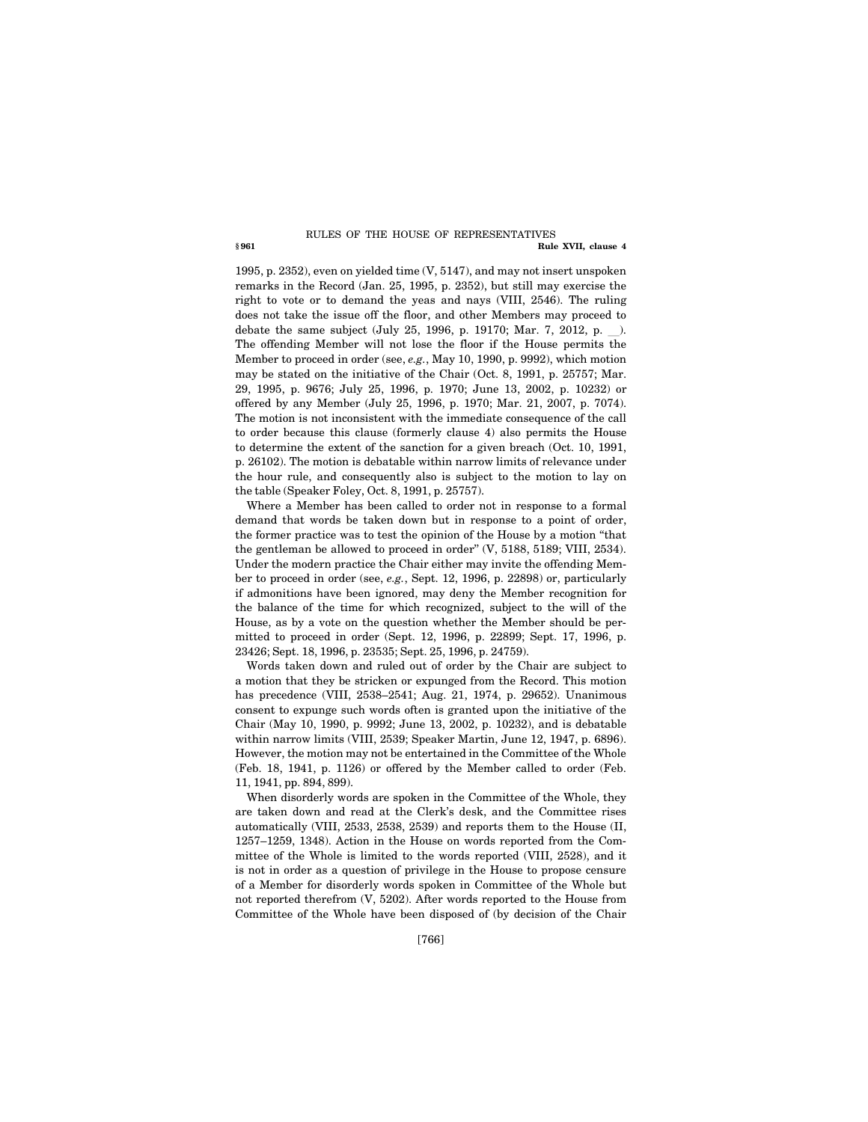#### **§ 961 Rule XVII, clause 4**  RULES OF THE HOUSE OF REPRESENTATIVES

1995, p. 2352), even on yielded time (V, 5147), and may not insert unspoken remarks in the Record (Jan. 25, 1995, p. 2352), but still may exercise the right to vote or to demand the yeas and nays (VIII, 2546). The ruling does not take the issue off the floor, and other Members may proceed to debate the same subject  $(July 25, 1996, p. 19170; Mar. 7, 2012, p.$ ). The offending Member will not lose the floor if the House permits the Member to proceed in order (see, *e.g.*, May 10, 1990, p. 9992), which motion may be stated on the initiative of the Chair (Oct. 8, 1991, p. 25757; Mar. 29, 1995, p. 9676; July 25, 1996, p. 1970; June 13, 2002, p. 10232) or offered by any Member (July 25, 1996, p. 1970; Mar. 21, 2007, p. 7074). The motion is not inconsistent with the immediate consequence of the call to order because this clause (formerly clause 4) also permits the House to determine the extent of the sanction for a given breach (Oct. 10, 1991, p. 26102). The motion is debatable within narrow limits of relevance under the hour rule, and consequently also is subject to the motion to lay on the table (Speaker Foley, Oct. 8, 1991, p. 25757).

Where a Member has been called to order not in response to a formal demand that words be taken down but in response to a point of order, the former practice was to test the opinion of the House by a motion ''that the gentleman be allowed to proceed in order'' (V, 5188, 5189; VIII, 2534). Under the modern practice the Chair either may invite the offending Member to proceed in order (see, *e.g.*, Sept. 12, 1996, p. 22898) or, particularly if admonitions have been ignored, may deny the Member recognition for the balance of the time for which recognized, subject to the will of the House, as by a vote on the question whether the Member should be permitted to proceed in order (Sept. 12, 1996, p. 22899; Sept. 17, 1996, p. 23426; Sept. 18, 1996, p. 23535; Sept. 25, 1996, p. 24759).

Words taken down and ruled out of order by the Chair are subject to a motion that they be stricken or expunged from the Record. This motion has precedence (VIII, 2538–2541; Aug. 21, 1974, p. 29652). Unanimous consent to expunge such words often is granted upon the initiative of the Chair (May 10, 1990, p. 9992; June 13, 2002, p. 10232), and is debatable within narrow limits (VIII, 2539; Speaker Martin, June 12, 1947, p. 6896). However, the motion may not be entertained in the Committee of the Whole (Feb. 18, 1941, p. 1126) or offered by the Member called to order (Feb. 11, 1941, pp. 894, 899).

When disorderly words are spoken in the Committee of the Whole, they are taken down and read at the Clerk's desk, and the Committee rises automatically (VIII, 2533, 2538, 2539) and reports them to the House (II, 1257–1259, 1348). Action in the House on words reported from the Committee of the Whole is limited to the words reported (VIII, 2528), and it is not in order as a question of privilege in the House to propose censure of a Member for disorderly words spoken in Committee of the Whole but not reported therefrom (V, 5202). After words reported to the House from Committee of the Whole have been disposed of (by decision of the Chair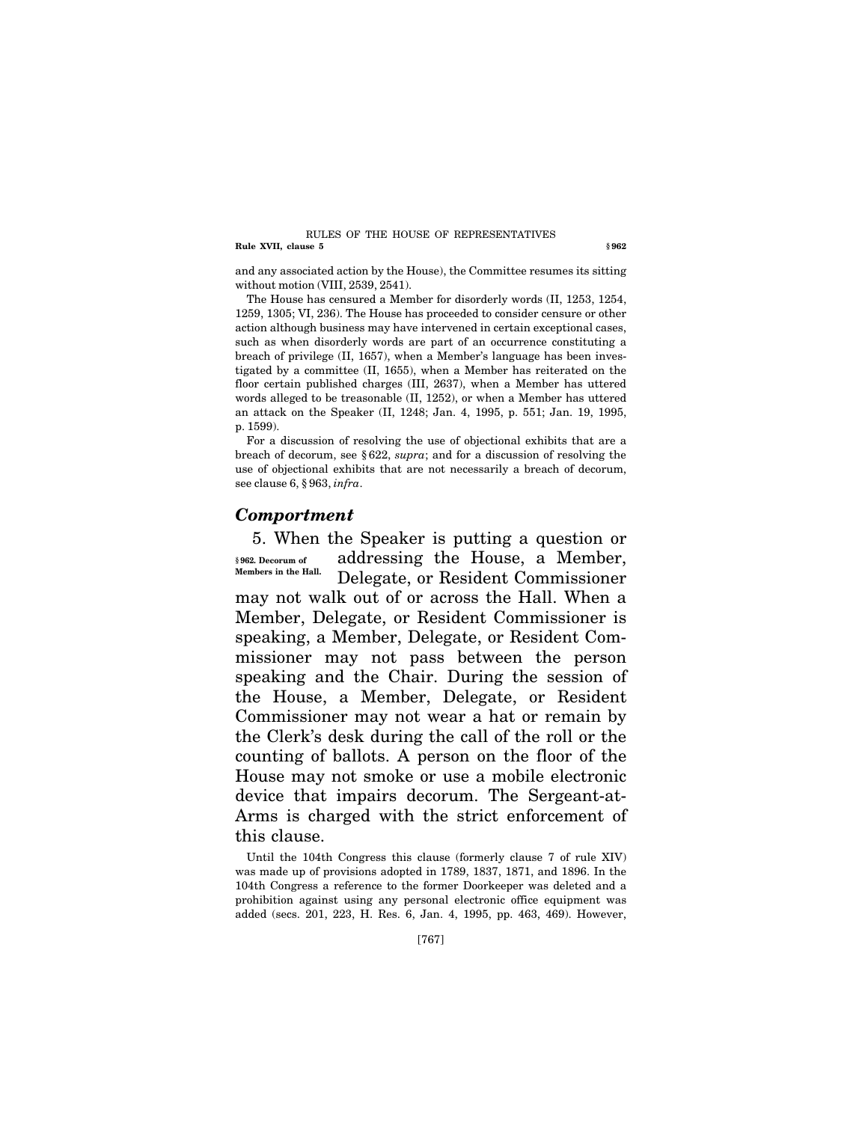#### **Rule XVII, clause 5 § 962**  RULES OF THE HOUSE OF REPRESENTATIVES

and any associated action by the House), the Committee resumes its sitting without motion (VIII, 2539, 2541).

The House has censured a Member for disorderly words (II, 1253, 1254, 1259, 1305; VI, 236). The House has proceeded to consider censure or other action although business may have intervened in certain exceptional cases, such as when disorderly words are part of an occurrence constituting a breach of privilege (II, 1657), when a Member's language has been investigated by a committee (II, 1655), when a Member has reiterated on the floor certain published charges (III, 2637), when a Member has uttered words alleged to be treasonable (II, 1252), or when a Member has uttered an attack on the Speaker (II, 1248; Jan. 4, 1995, p. 551; Jan. 19, 1995, p. 1599).

For a discussion of resolving the use of objectional exhibits that are a breach of decorum, see § 622, *supra*; and for a discussion of resolving the use of objectional exhibits that are not necessarily a breach of decorum, see clause 6, § 963, *infra*.

## *Comportment*

5. When the Speaker is putting a question or addressing the House, a Member, Delegate, or Resident Commissioner may not walk out of or across the Hall. When a Member, Delegate, or Resident Commissioner is speaking, a Member, Delegate, or Resident Commissioner may not pass between the person speaking and the Chair. During the session of the House, a Member, Delegate, or Resident Commissioner may not wear a hat or remain by the Clerk's desk during the call of the roll or the counting of ballots. A person on the floor of the House may not smoke or use a mobile electronic device that impairs decorum. The Sergeant-at-Arms is charged with the strict enforcement of this clause. **§ 962. Decorum of Members in the Hall.** 

Until the 104th Congress this clause (formerly clause 7 of rule XIV) was made up of provisions adopted in 1789, 1837, 1871, and 1896. In the 104th Congress a reference to the former Doorkeeper was deleted and a prohibition against using any personal electronic office equipment was added (secs. 201, 223, H. Res. 6, Jan. 4, 1995, pp. 463, 469). However,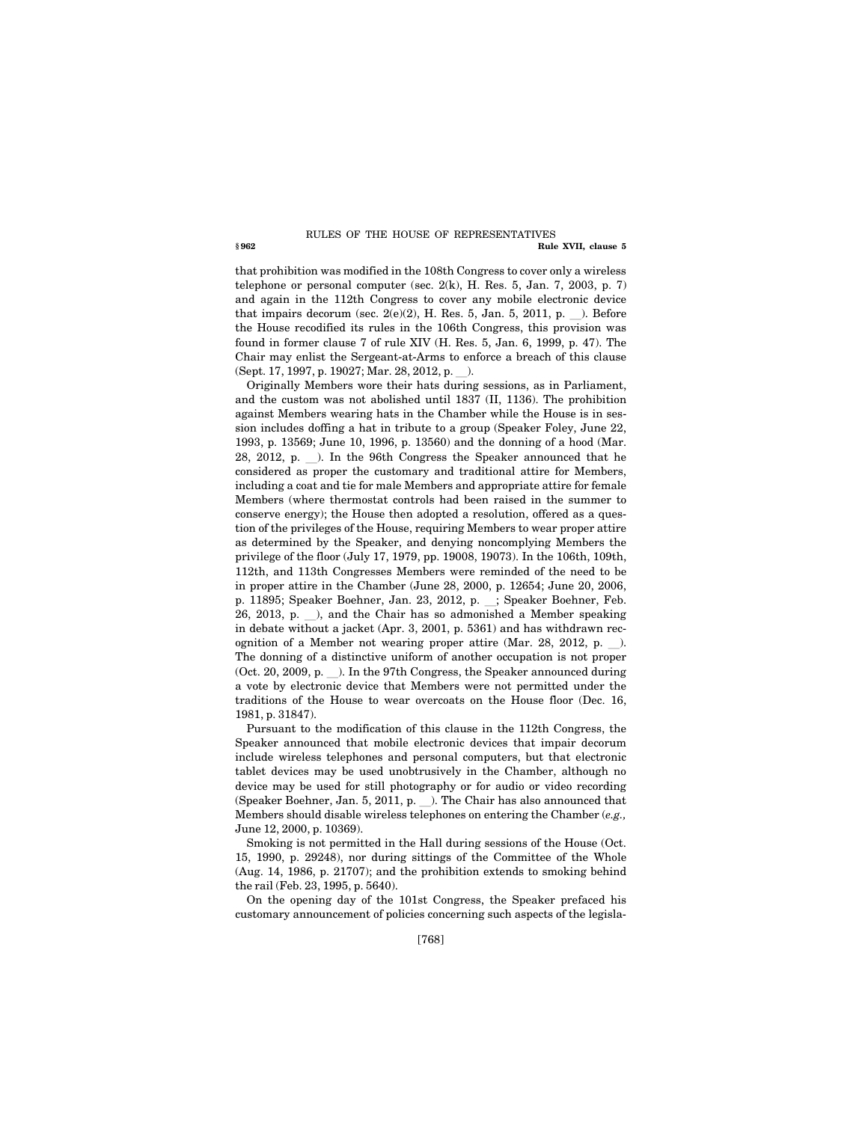#### **§ 962 Rule XVII, clause 5**  RULES OF THE HOUSE OF REPRESENTATIVES

that prohibition was modified in the 108th Congress to cover only a wireless telephone or personal computer (sec. 2(k), H. Res. 5, Jan. 7, 2003, p. 7) and again in the 112th Congress to cover any mobile electronic device that impairs decorum (sec.  $2(e)(2)$ , H. Res. 5, Jan. 5, 2011, p. ). Before the House recodified its rules in the 106th Congress, this provision was found in former clause 7 of rule XIV (H. Res. 5, Jan. 6, 1999, p. 47). The Chair may enlist the Sergeant-at-Arms to enforce a breach of this clause (Sept. 17, 1997, p. 19027; Mar. 28, 2012, p. ).

Originally Members wore their hats during sessions, as in Parliament, and the custom was not abolished until 1837 (II, 1136). The prohibition against Members wearing hats in the Chamber while the House is in session includes doffing a hat in tribute to a group (Speaker Foley, June 22, 1993, p. 13569; June 10, 1996, p. 13560) and the donning of a hood (Mar. 28, 2012, p. \_). In the 96th Congress the Speaker announced that he considered as proper the customary and traditional attire for Members, including a coat and tie for male Members and appropriate attire for female Members (where thermostat controls had been raised in the summer to conserve energy); the House then adopted a resolution, offered as a question of the privileges of the House, requiring Members to wear proper attire as determined by the Speaker, and denying noncomplying Members the privilege of the floor (July 17, 1979, pp. 19008, 19073). In the 106th, 109th, 112th, and 113th Congresses Members were reminded of the need to be in proper attire in the Chamber (June 28, 2000, p. 12654; June 20, 2006, p. 11895; Speaker Boehner, Jan. 23, 2012, p. \_; Speaker Boehner, Feb. 26, 2013, p.  $\Box$ ), and the Chair has so admonished a Member speaking in debate without a jacket (Apr. 3, 2001, p. 5361) and has withdrawn recognition of a Member not wearing proper attire (Mar.  $28$ ,  $2012$ , p. ). The donning of a distinctive uniform of another occupation is not proper  $(Oct. 20, 2009, p. ...)$ . In the 97th Congress, the Speaker announced during a vote by electronic device that Members were not permitted under the traditions of the House to wear overcoats on the House floor (Dec. 16, 1981, p. 31847).

Pursuant to the modification of this clause in the 112th Congress, the Speaker announced that mobile electronic devices that impair decorum include wireless telephones and personal computers, but that electronic tablet devices may be used unobtrusively in the Chamber, although no device may be used for still photography or for audio or video recording (Speaker Boehner, Jan. 5, 2011, p.  $\_\_$ ). The Chair has also announced that Members should disable wireless telephones on entering the Chamber (*e.g.,*  June 12, 2000, p. 10369).

Smoking is not permitted in the Hall during sessions of the House (Oct. 15, 1990, p. 29248), nor during sittings of the Committee of the Whole (Aug. 14, 1986, p. 21707); and the prohibition extends to smoking behind the rail (Feb. 23, 1995, p. 5640).

On the opening day of the 101st Congress, the Speaker prefaced his customary announcement of policies concerning such aspects of the legisla-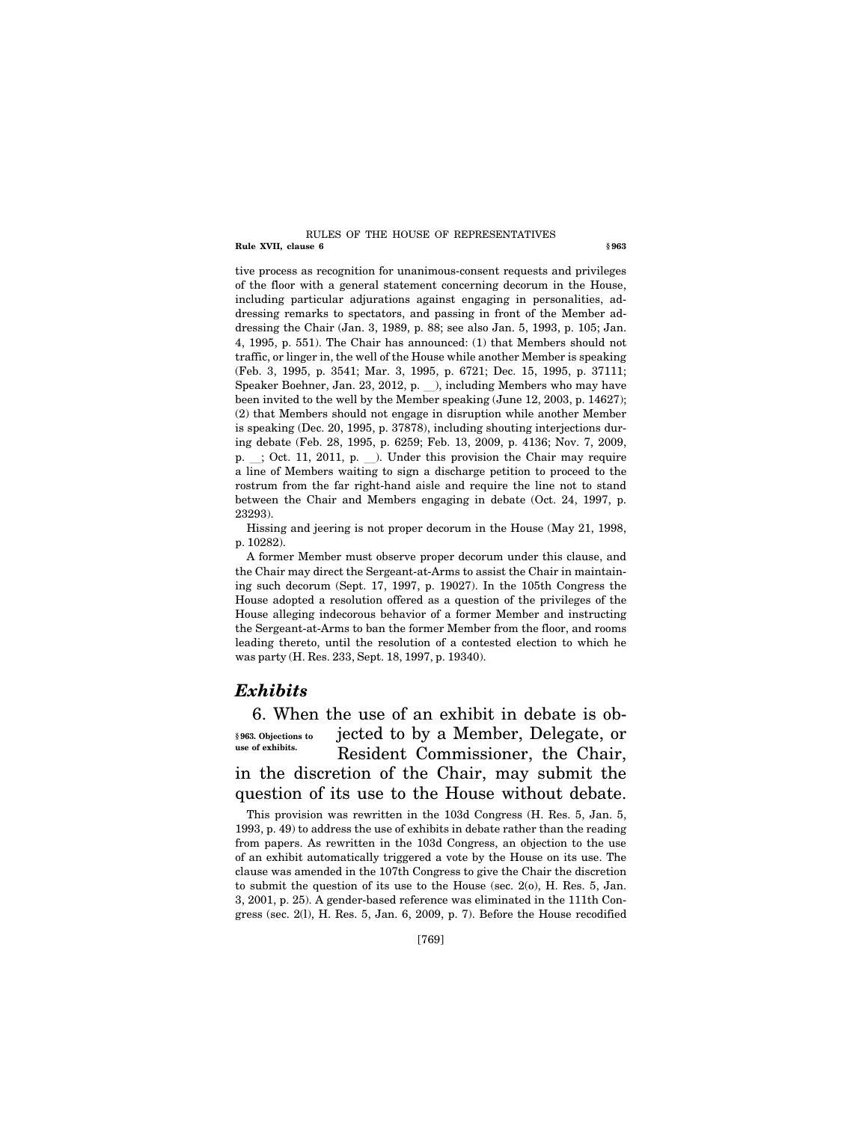#### **Rule XVII, clause 6 § 963** RULES OF THE HOUSE OF REPRESENTATIVES

tive process as recognition for unanimous-consent requests and privileges of the floor with a general statement concerning decorum in the House, including particular adjurations against engaging in personalities, addressing remarks to spectators, and passing in front of the Member addressing the Chair (Jan. 3, 1989, p. 88; see also Jan. 5, 1993, p. 105; Jan. 4, 1995, p. 551). The Chair has announced: (1) that Members should not traffic, or linger in, the well of the House while another Member is speaking (Feb. 3, 1995, p. 3541; Mar. 3, 1995, p. 6721; Dec. 15, 1995, p. 37111; Speaker Boehner, Jan. 23, 2012, p.  $\blacksquare$ ), including Members who may have been invited to the well by the Member speaking (June 12, 2003, p. 14627); (2) that Members should not engage in disruption while another Member is speaking (Dec. 20, 1995, p. 37878), including shouting interjections during debate (Feb. 28, 1995, p. 6259; Feb. 13, 2009, p. 4136; Nov. 7, 2009, p.  $\therefore$  Oct. 11, 2011, p.  $\therefore$  Under this provision the Chair may require a line of Members waiting to sign a discharge petition to proceed to the rostrum from the far right-hand aisle and require the line not to stand between the Chair and Members engaging in debate (Oct. 24, 1997, p. 23293).

Hissing and jeering is not proper decorum in the House (May 21, 1998, p. 10282).

A former Member must observe proper decorum under this clause, and the Chair may direct the Sergeant-at-Arms to assist the Chair in maintaining such decorum (Sept. 17, 1997, p. 19027). In the 105th Congress the House adopted a resolution offered as a question of the privileges of the House alleging indecorous behavior of a former Member and instructing the Sergeant-at-Arms to ban the former Member from the floor, and rooms leading thereto, until the resolution of a contested election to which he was party (H. Res. 233, Sept. 18, 1997, p. 19340).

## *Exhibits*

6. When the use of an exhibit in debate is objected to by a Member, Delegate, or Resident Commissioner, the Chair, in the discretion of the Chair, may submit the question of its use to the House without debate. **§ 963. Objections to use of exhibits.** 

This provision was rewritten in the 103d Congress (H. Res. 5, Jan. 5, 1993, p. 49) to address the use of exhibits in debate rather than the reading from papers. As rewritten in the 103d Congress, an objection to the use of an exhibit automatically triggered a vote by the House on its use. The clause was amended in the 107th Congress to give the Chair the discretion to submit the question of its use to the House (sec. 2(o), H. Res. 5, Jan. 3, 2001, p. 25). A gender-based reference was eliminated in the 111th Congress (sec. 2(l), H. Res. 5, Jan. 6, 2009, p. 7). Before the House recodified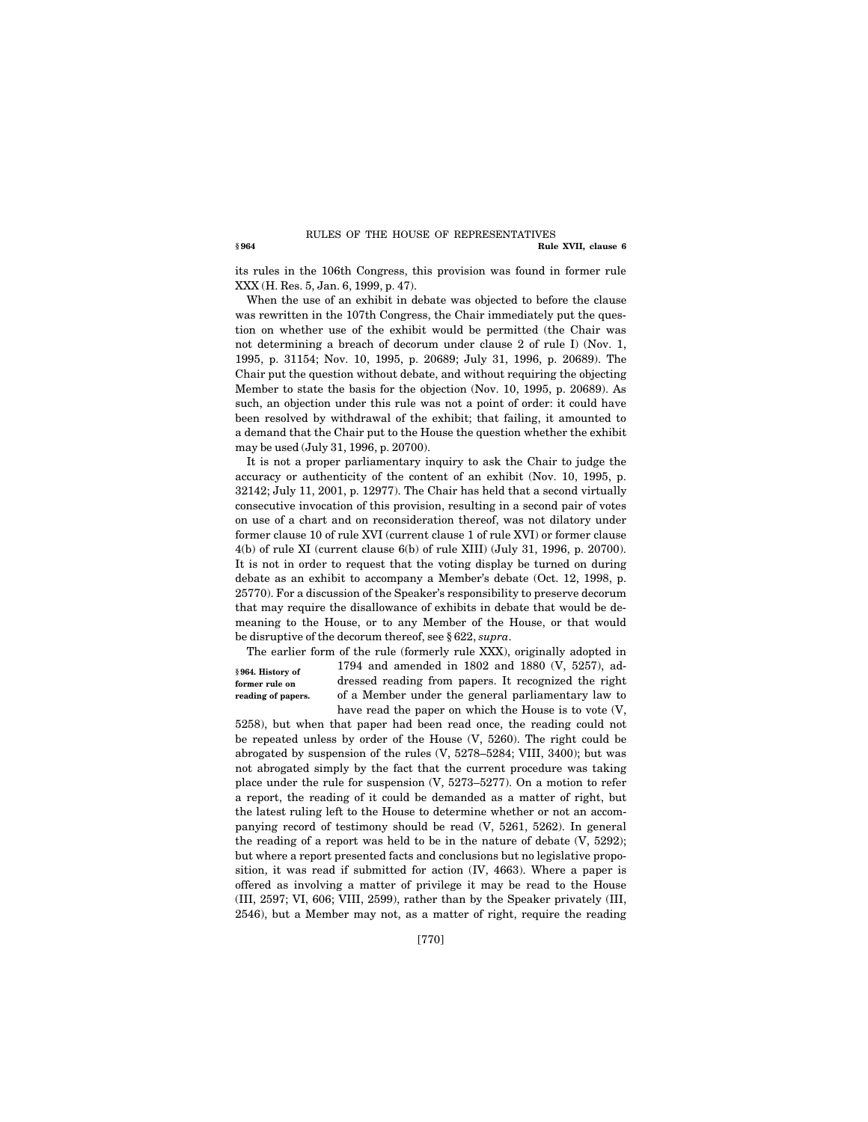#### **§ 964 Rule XVII, clause 6**  RULES OF THE HOUSE OF REPRESENTATIVES

its rules in the 106th Congress, this provision was found in former rule XXX (H. Res. 5, Jan. 6, 1999, p. 47).

When the use of an exhibit in debate was objected to before the clause was rewritten in the 107th Congress, the Chair immediately put the question on whether use of the exhibit would be permitted (the Chair was not determining a breach of decorum under clause 2 of rule I) (Nov. 1, 1995, p. 31154; Nov. 10, 1995, p. 20689; July 31, 1996, p. 20689). The Chair put the question without debate, and without requiring the objecting Member to state the basis for the objection (Nov. 10, 1995, p. 20689). As such, an objection under this rule was not a point of order: it could have been resolved by withdrawal of the exhibit; that failing, it amounted to a demand that the Chair put to the House the question whether the exhibit may be used (July 31, 1996, p. 20700).

It is not a proper parliamentary inquiry to ask the Chair to judge the accuracy or authenticity of the content of an exhibit (Nov. 10, 1995, p. 32142; July 11, 2001, p. 12977). The Chair has held that a second virtually consecutive invocation of this provision, resulting in a second pair of votes on use of a chart and on reconsideration thereof, was not dilatory under former clause 10 of rule XVI (current clause 1 of rule XVI) or former clause 4(b) of rule XI (current clause 6(b) of rule XIII) (July 31, 1996, p. 20700). It is not in order to request that the voting display be turned on during debate as an exhibit to accompany a Member's debate (Oct. 12, 1998, p. 25770). For a discussion of the Speaker's responsibility to preserve decorum that may require the disallowance of exhibits in debate that would be demeaning to the House, or to any Member of the House, or that would be disruptive of the decorum thereof, see § 622, *supra*.

**§ 964. History of former rule on reading of papers.** 

The earlier form of the rule (formerly rule XXX), originally adopted in 1794 and amended in 1802 and 1880 (V, 5257), addressed reading from papers. It recognized the right of a Member under the general parliamentary law to have read the paper on which the House is to vote (V,

5258), but when that paper had been read once, the reading could not be repeated unless by order of the House (V, 5260). The right could be abrogated by suspension of the rules (V, 5278–5284; VIII, 3400); but was not abrogated simply by the fact that the current procedure was taking place under the rule for suspension (V, 5273–5277). On a motion to refer a report, the reading of it could be demanded as a matter of right, but the latest ruling left to the House to determine whether or not an accompanying record of testimony should be read (V, 5261, 5262). In general the reading of a report was held to be in the nature of debate (V, 5292); but where a report presented facts and conclusions but no legislative proposition, it was read if submitted for action (IV, 4663). Where a paper is offered as involving a matter of privilege it may be read to the House (III, 2597; VI, 606; VIII, 2599), rather than by the Speaker privately (III, 2546), but a Member may not, as a matter of right, require the reading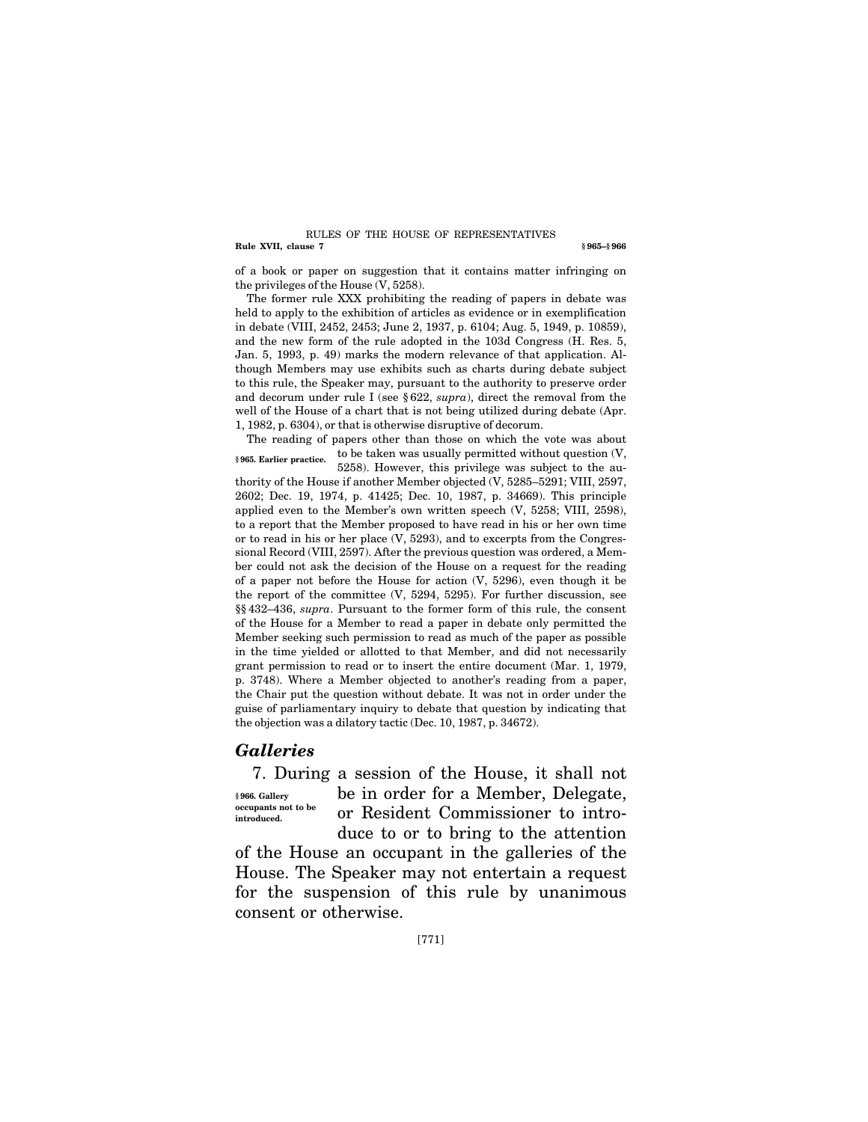#### **Rule XVII, clause 7** § 965–§ 966 RULES OF THE HOUSE OF REPRESENTATIVES

of a book or paper on suggestion that it contains matter infringing on the privileges of the House (V, 5258).

The former rule XXX prohibiting the reading of papers in debate was held to apply to the exhibition of articles as evidence or in exemplification in debate (VIII, 2452, 2453; June 2, 1937, p. 6104; Aug. 5, 1949, p. 10859), and the new form of the rule adopted in the 103d Congress (H. Res. 5, Jan. 5, 1993, p. 49) marks the modern relevance of that application. Although Members may use exhibits such as charts during debate subject to this rule, the Speaker may, pursuant to the authority to preserve order and decorum under rule I (see § 622, *supra*), direct the removal from the well of the House of a chart that is not being utilized during debate (Apr. 1, 1982, p. 6304), or that is otherwise disruptive of decorum.

The reading of papers other than those on which the vote was about to be taken was usually permitted without question (V, 5258). However, this privilege was subject to the au-**§ 965. Earlier practice.** 

thority of the House if another Member objected (V, 5285–5291; VIII, 2597, 2602; Dec. 19, 1974, p. 41425; Dec. 10, 1987, p. 34669). This principle applied even to the Member's own written speech (V, 5258; VIII, 2598), to a report that the Member proposed to have read in his or her own time or to read in his or her place (V, 5293), and to excerpts from the Congressional Record (VIII, 2597). After the previous question was ordered, a Member could not ask the decision of the House on a request for the reading of a paper not before the House for action (V, 5296), even though it be the report of the committee (V, 5294, 5295). For further discussion, see §§ 432–436, *supra*. Pursuant to the former form of this rule, the consent of the House for a Member to read a paper in debate only permitted the Member seeking such permission to read as much of the paper as possible in the time yielded or allotted to that Member, and did not necessarily grant permission to read or to insert the entire document (Mar. 1, 1979, p. 3748). Where a Member objected to another's reading from a paper, the Chair put the question without debate. It was not in order under the guise of parliamentary inquiry to debate that question by indicating that the objection was a dilatory tactic (Dec. 10, 1987, p. 34672).

## *Galleries*

7. During a session of the House, it shall not be in order for a Member, Delegate, or Resident Commissioner to introduce to or to bring to the attention **§ 966. Gallery occupants not to be introduced.** 

of the House an occupant in the galleries of the House. The Speaker may not entertain a request for the suspension of this rule by unanimous consent or otherwise.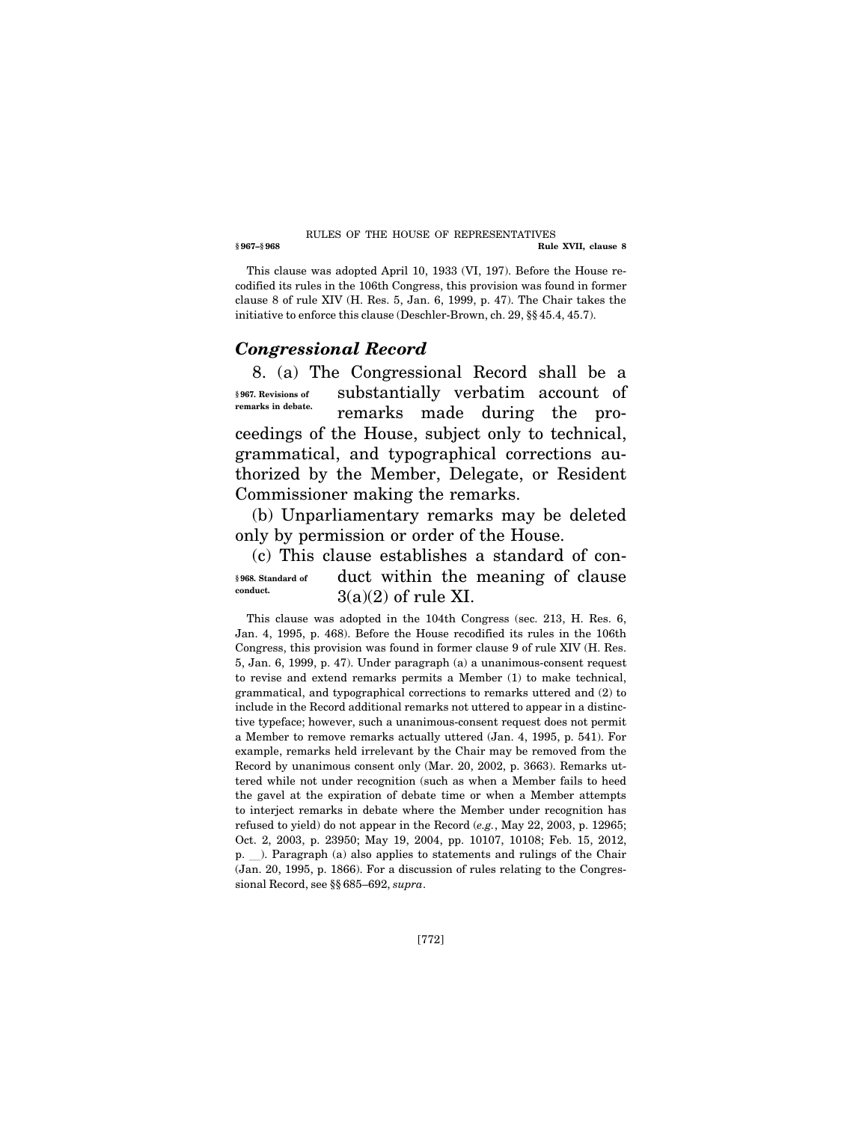#### **§ 967–§ 968 Rule XVII, clause 8**  RULES OF THE HOUSE OF REPRESENTATIVES

This clause was adopted April 10, 1933 (VI, 197). Before the House recodified its rules in the 106th Congress, this provision was found in former clause 8 of rule XIV (H. Res. 5, Jan. 6, 1999, p. 47). The Chair takes the initiative to enforce this clause (Deschler-Brown, ch. 29, §§ 45.4, 45.7).

## *Congressional Record*

8. (a) The Congressional Record shall be a substantially verbatim account of remarks made during the proceedings of the House, subject only to technical, grammatical, and typographical corrections authorized by the Member, Delegate, or Resident Commissioner making the remarks. **§ 967. Revisions of remarks in debate.** 

(b) Unparliamentary remarks may be deleted only by permission or order of the House.

(c) This clause establishes a standard of conduct within the meaning of clause  $3(a)(2)$  of rule XI. **§ 968. Standard of conduct.** 

This clause was adopted in the 104th Congress (sec. 213, H. Res. 6, Jan. 4, 1995, p. 468). Before the House recodified its rules in the 106th Congress, this provision was found in former clause 9 of rule XIV (H. Res. 5, Jan. 6, 1999, p. 47). Under paragraph (a) a unanimous-consent request to revise and extend remarks permits a Member (1) to make technical, grammatical, and typographical corrections to remarks uttered and (2) to include in the Record additional remarks not uttered to appear in a distinctive typeface; however, such a unanimous-consent request does not permit a Member to remove remarks actually uttered (Jan. 4, 1995, p. 541). For example, remarks held irrelevant by the Chair may be removed from the Record by unanimous consent only (Mar. 20, 2002, p. 3663). Remarks uttered while not under recognition (such as when a Member fails to heed the gavel at the expiration of debate time or when a Member attempts to interject remarks in debate where the Member under recognition has refused to yield) do not appear in the Record (*e.g.*, May 22, 2003, p. 12965; Oct. 2, 2003, p. 23950; May 19, 2004, pp. 10107, 10108; Feb. 15, 2012, p.  $\Box$ ). Paragraph (a) also applies to statements and rulings of the Chair (Jan. 20, 1995, p. 1866). For a discussion of rules relating to the Congressional Record, see §§ 685–692, *supra*.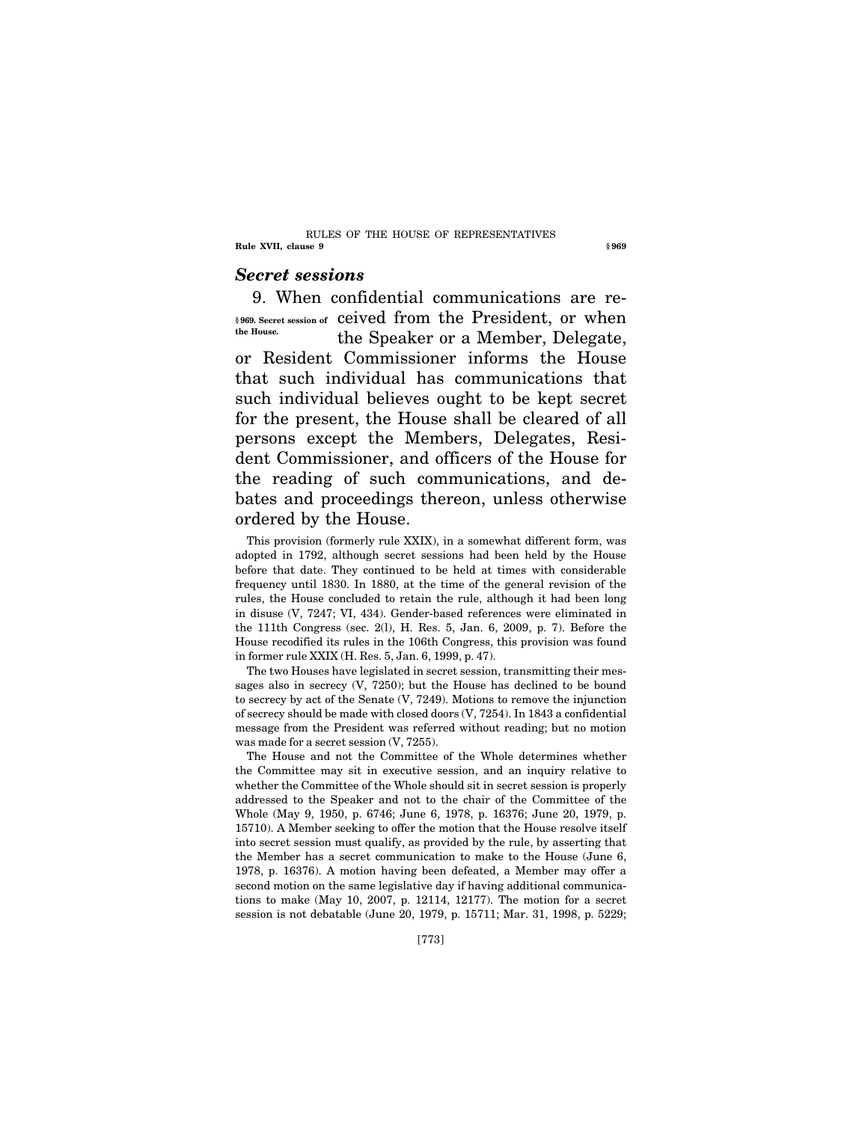#### **Rule XVII, clause 9** § 969 RULES OF THE HOUSE OF REPRESENTATIVES

# *Secret sessions*

9. When confidential communications are re-\$969. Secret session of ceived from the President, or when the Speaker or a Member, Delegate, or Resident Commissioner informs the House that such individual has communications that such individual believes ought to be kept secret for the present, the House shall be cleared of all persons except the Members, Delegates, Resident Commissioner, and officers of the House for the reading of such communications, and debates and proceedings thereon, unless otherwise ordered by the House. **the House.** 

This provision (formerly rule XXIX), in a somewhat different form, was adopted in 1792, although secret sessions had been held by the House before that date. They continued to be held at times with considerable frequency until 1830. In 1880, at the time of the general revision of the rules, the House concluded to retain the rule, although it had been long in disuse (V, 7247; VI, 434). Gender-based references were eliminated in the 111th Congress (sec. 2(l), H. Res. 5, Jan. 6, 2009, p. 7). Before the House recodified its rules in the 106th Congress, this provision was found in former rule XXIX (H. Res. 5, Jan. 6, 1999, p. 47).

The two Houses have legislated in secret session, transmitting their messages also in secrecy (V, 7250); but the House has declined to be bound to secrecy by act of the Senate (V, 7249). Motions to remove the injunction of secrecy should be made with closed doors (V, 7254). In 1843 a confidential message from the President was referred without reading; but no motion was made for a secret session (V, 7255).

The House and not the Committee of the Whole determines whether the Committee may sit in executive session, and an inquiry relative to whether the Committee of the Whole should sit in secret session is properly addressed to the Speaker and not to the chair of the Committee of the Whole (May 9, 1950, p. 6746; June 6, 1978, p. 16376; June 20, 1979, p. 15710). A Member seeking to offer the motion that the House resolve itself into secret session must qualify, as provided by the rule, by asserting that the Member has a secret communication to make to the House (June 6, 1978, p. 16376). A motion having been defeated, a Member may offer a second motion on the same legislative day if having additional communications to make (May 10, 2007, p. 12114, 12177). The motion for a secret session is not debatable (June 20, 1979, p. 15711; Mar. 31, 1998, p. 5229;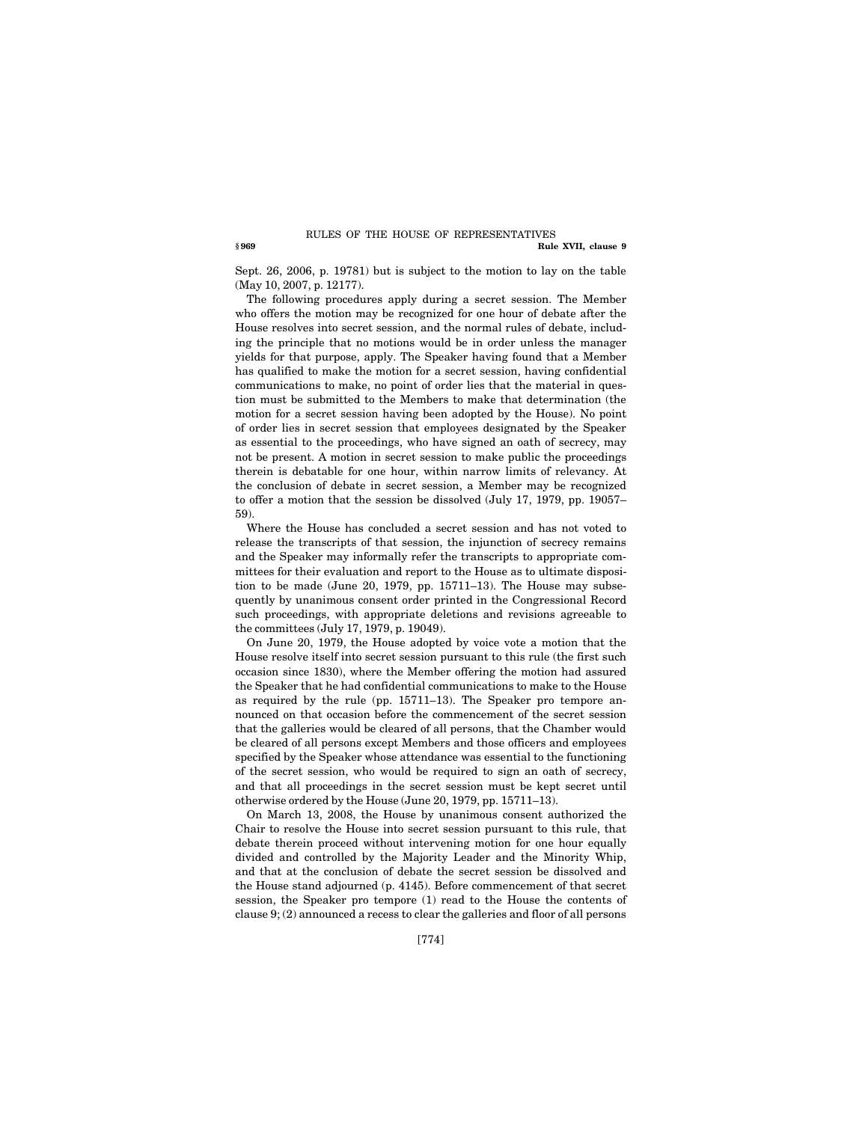#### **§ 969 Rule XVII, clause 9**  RULES OF THE HOUSE OF REPRESENTATIVES

Sept. 26, 2006, p. 19781) but is subject to the motion to lay on the table (May 10, 2007, p. 12177).

The following procedures apply during a secret session. The Member who offers the motion may be recognized for one hour of debate after the House resolves into secret session, and the normal rules of debate, including the principle that no motions would be in order unless the manager yields for that purpose, apply. The Speaker having found that a Member has qualified to make the motion for a secret session, having confidential communications to make, no point of order lies that the material in question must be submitted to the Members to make that determination (the motion for a secret session having been adopted by the House). No point of order lies in secret session that employees designated by the Speaker as essential to the proceedings, who have signed an oath of secrecy, may not be present. A motion in secret session to make public the proceedings therein is debatable for one hour, within narrow limits of relevancy. At the conclusion of debate in secret session, a Member may be recognized to offer a motion that the session be dissolved (July 17, 1979, pp. 19057– 59).

Where the House has concluded a secret session and has not voted to release the transcripts of that session, the injunction of secrecy remains and the Speaker may informally refer the transcripts to appropriate committees for their evaluation and report to the House as to ultimate disposition to be made (June 20, 1979, pp. 15711–13). The House may subsequently by unanimous consent order printed in the Congressional Record such proceedings, with appropriate deletions and revisions agreeable to the committees (July 17, 1979, p. 19049).

On June 20, 1979, the House adopted by voice vote a motion that the House resolve itself into secret session pursuant to this rule (the first such occasion since 1830), where the Member offering the motion had assured the Speaker that he had confidential communications to make to the House as required by the rule (pp. 15711–13). The Speaker pro tempore announced on that occasion before the commencement of the secret session that the galleries would be cleared of all persons, that the Chamber would be cleared of all persons except Members and those officers and employees specified by the Speaker whose attendance was essential to the functioning of the secret session, who would be required to sign an oath of secrecy, and that all proceedings in the secret session must be kept secret until otherwise ordered by the House (June 20, 1979, pp. 15711–13).

On March 13, 2008, the House by unanimous consent authorized the Chair to resolve the House into secret session pursuant to this rule, that debate therein proceed without intervening motion for one hour equally divided and controlled by the Majority Leader and the Minority Whip, and that at the conclusion of debate the secret session be dissolved and the House stand adjourned (p. 4145). Before commencement of that secret session, the Speaker pro tempore (1) read to the House the contents of clause 9; (2) announced a recess to clear the galleries and floor of all persons